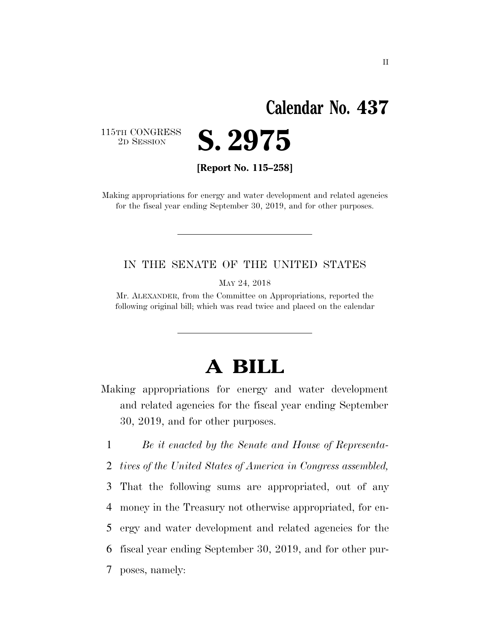# **Calendar No. 437**

115TH CONGRESS<br>2D SESSION

2D SESSION **S. 2975** 

**[Report No. 115–258]** 

Making appropriations for energy and water development and related agencies for the fiscal year ending September 30, 2019, and for other purposes.

#### IN THE SENATE OF THE UNITED STATES

MAY 24, 2018

Mr. ALEXANDER, from the Committee on Appropriations, reported the following original bill; which was read twice and placed on the calendar

# **A BILL**

Making appropriations for energy and water development and related agencies for the fiscal year ending September 30, 2019, and for other purposes.

1 *Be it enacted by the Senate and House of Representa-*

2 *tives of the United States of America in Congress assembled,* 

 That the following sums are appropriated, out of any money in the Treasury not otherwise appropriated, for en- ergy and water development and related agencies for the fiscal year ending September 30, 2019, and for other pur-

7 poses, namely: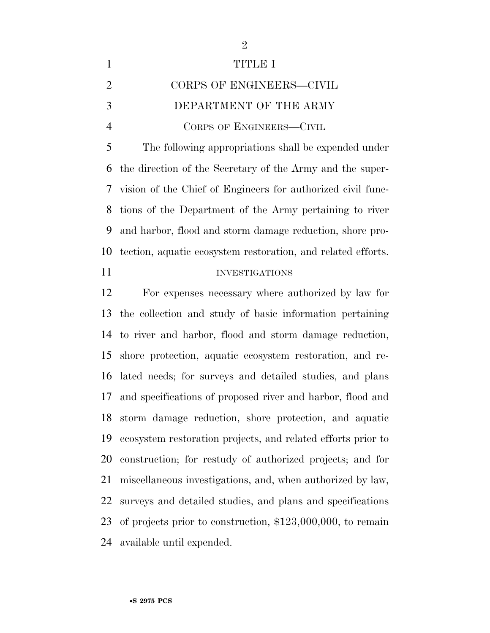| $\mathbf{1}$   | TITIDE T                                                      |
|----------------|---------------------------------------------------------------|
| 2              | CORPS OF ENGINEERS-CIVIL                                      |
| 3              | DEPARTMENT OF THE ARMY                                        |
| $\overline{4}$ | CORPS OF ENGINEERS-CIVIL                                      |
| $\overline{5}$ | The following appropriations shall be expended under          |
|                | 6 the direction of the Secretary of the Army and the super-   |
|                | 7 vision of the Chief of Engineers for authorized civil func- |

 tions of the Department of the Army pertaining to river and harbor, flood and storm damage reduction, shore pro-tection, aquatic ecosystem restoration, and related efforts.

#### 11 INVESTIGATIONS

 For expenses necessary where authorized by law for the collection and study of basic information pertaining to river and harbor, flood and storm damage reduction, shore protection, aquatic ecosystem restoration, and re- lated needs; for surveys and detailed studies, and plans and specifications of proposed river and harbor, flood and storm damage reduction, shore protection, and aquatic ecosystem restoration projects, and related efforts prior to construction; for restudy of authorized projects; and for miscellaneous investigations, and, when authorized by law, surveys and detailed studies, and plans and specifications of projects prior to construction, \$123,000,000, to remain available until expended.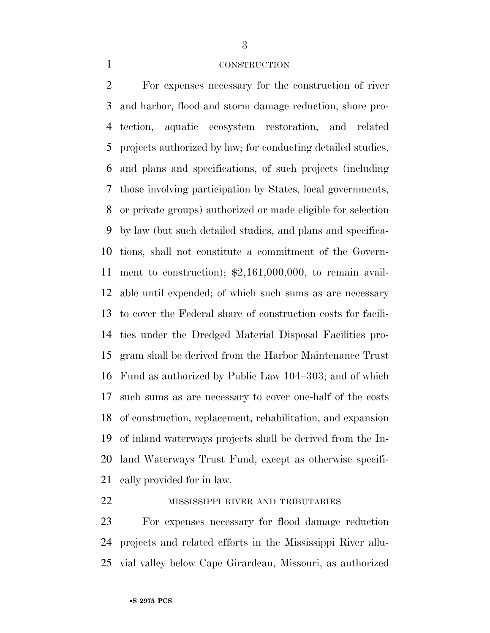#### CONSTRUCTION

 For expenses necessary for the construction of river and harbor, flood and storm damage reduction, shore pro- tection, aquatic ecosystem restoration, and related projects authorized by law; for conducting detailed studies, and plans and specifications, of such projects (including those involving participation by States, local governments, or private groups) authorized or made eligible for selection by law (but such detailed studies, and plans and specifica- tions, shall not constitute a commitment of the Govern- ment to construction); \$2,161,000,000, to remain avail- able until expended; of which such sums as are necessary to cover the Federal share of construction costs for facili- ties under the Dredged Material Disposal Facilities pro- gram shall be derived from the Harbor Maintenance Trust Fund as authorized by Public Law 104–303; and of which such sums as are necessary to cover one-half of the costs of construction, replacement, rehabilitation, and expansion of inland waterways projects shall be derived from the In- land Waterways Trust Fund, except as otherwise specifi-cally provided for in law.

#### **MISSISSIPPI RIVER AND TRIBUTARIES**

 For expenses necessary for flood damage reduction projects and related efforts in the Mississippi River allu-vial valley below Cape Girardeau, Missouri, as authorized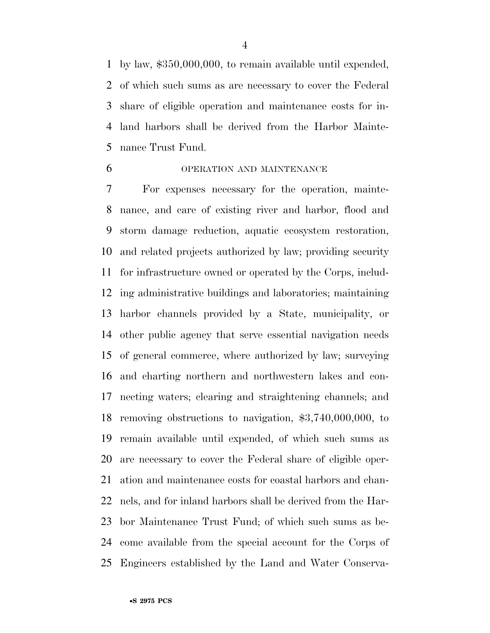by law, \$350,000,000, to remain available until expended, of which such sums as are necessary to cover the Federal share of eligible operation and maintenance costs for in- land harbors shall be derived from the Harbor Mainte-nance Trust Fund.

#### OPERATION AND MAINTENANCE

 For expenses necessary for the operation, mainte- nance, and care of existing river and harbor, flood and storm damage reduction, aquatic ecosystem restoration, and related projects authorized by law; providing security for infrastructure owned or operated by the Corps, includ- ing administrative buildings and laboratories; maintaining harbor channels provided by a State, municipality, or other public agency that serve essential navigation needs of general commerce, where authorized by law; surveying and charting northern and northwestern lakes and con- necting waters; clearing and straightening channels; and removing obstructions to navigation, \$3,740,000,000, to remain available until expended, of which such sums as are necessary to cover the Federal share of eligible oper- ation and maintenance costs for coastal harbors and chan- nels, and for inland harbors shall be derived from the Har- bor Maintenance Trust Fund; of which such sums as be- come available from the special account for the Corps of Engineers established by the Land and Water Conserva-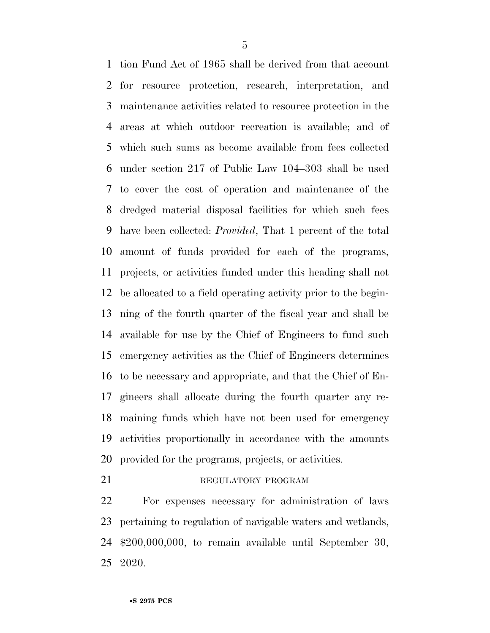tion Fund Act of 1965 shall be derived from that account for resource protection, research, interpretation, and maintenance activities related to resource protection in the areas at which outdoor recreation is available; and of which such sums as become available from fees collected under section 217 of Public Law 104–303 shall be used to cover the cost of operation and maintenance of the dredged material disposal facilities for which such fees have been collected: *Provided*, That 1 percent of the total amount of funds provided for each of the programs, projects, or activities funded under this heading shall not be allocated to a field operating activity prior to the begin- ning of the fourth quarter of the fiscal year and shall be available for use by the Chief of Engineers to fund such emergency activities as the Chief of Engineers determines to be necessary and appropriate, and that the Chief of En- gineers shall allocate during the fourth quarter any re- maining funds which have not been used for emergency activities proportionally in accordance with the amounts provided for the programs, projects, or activities.

#### 21 REGULATORY PROGRAM

 For expenses necessary for administration of laws pertaining to regulation of navigable waters and wetlands, \$200,000,000, to remain available until September 30, 2020.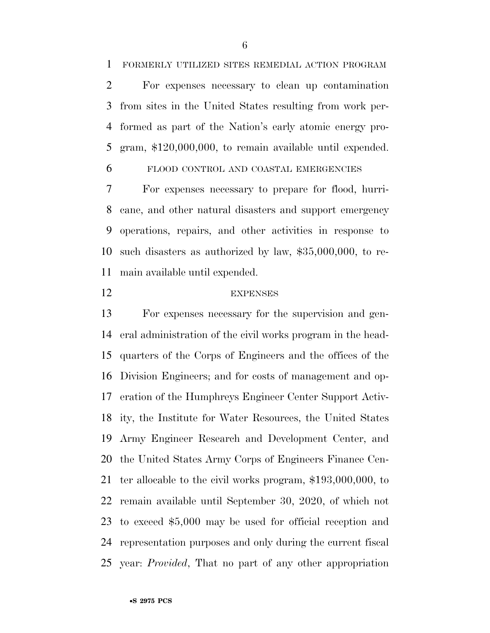FORMERLY UTILIZED SITES REMEDIAL ACTION PROGRAM

 For expenses necessary to clean up contamination from sites in the United States resulting from work per- formed as part of the Nation's early atomic energy pro-gram, \$120,000,000, to remain available until expended.

FLOOD CONTROL AND COASTAL EMERGENCIES

 For expenses necessary to prepare for flood, hurri- cane, and other natural disasters and support emergency operations, repairs, and other activities in response to such disasters as authorized by law, \$35,000,000, to re-main available until expended.

#### EXPENSES

 For expenses necessary for the supervision and gen- eral administration of the civil works program in the head- quarters of the Corps of Engineers and the offices of the Division Engineers; and for costs of management and op- eration of the Humphreys Engineer Center Support Activ- ity, the Institute for Water Resources, the United States Army Engineer Research and Development Center, and the United States Army Corps of Engineers Finance Cen- ter allocable to the civil works program, \$193,000,000, to remain available until September 30, 2020, of which not to exceed \$5,000 may be used for official reception and representation purposes and only during the current fiscal year: *Provided*, That no part of any other appropriation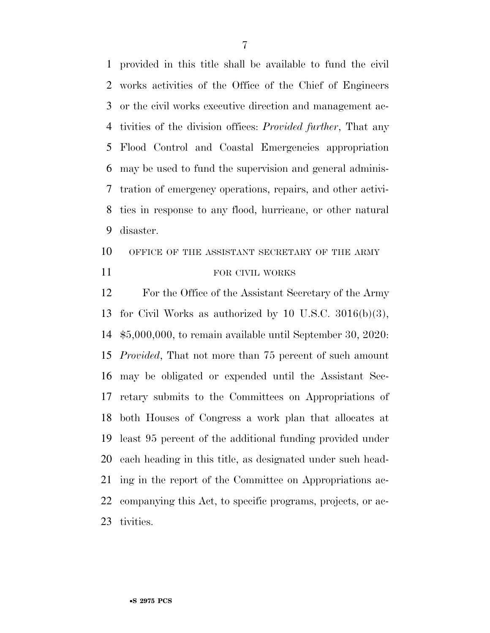provided in this title shall be available to fund the civil works activities of the Office of the Chief of Engineers or the civil works executive direction and management ac- tivities of the division offices: *Provided further*, That any Flood Control and Coastal Emergencies appropriation may be used to fund the supervision and general adminis- tration of emergency operations, repairs, and other activi- ties in response to any flood, hurricane, or other natural disaster.

# 10 OFFICE OF THE ASSISTANT SECRETARY OF THE ARMY 11 FOR CIVIL WORKS

 For the Office of the Assistant Secretary of the Army for Civil Works as authorized by 10 U.S.C. 3016(b)(3), \$5,000,000, to remain available until September 30, 2020: *Provided*, That not more than 75 percent of such amount may be obligated or expended until the Assistant Sec- retary submits to the Committees on Appropriations of both Houses of Congress a work plan that allocates at least 95 percent of the additional funding provided under each heading in this title, as designated under such head- ing in the report of the Committee on Appropriations ac- companying this Act, to specific programs, projects, or ac-tivities.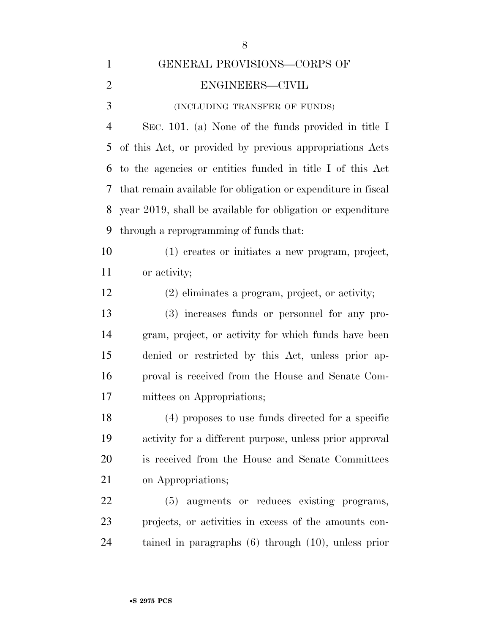| $\mathbf{1}$   | GENERAL PROVISIONS-CORPS OF                                   |
|----------------|---------------------------------------------------------------|
| $\overline{2}$ | ENGINEERS-CIVIL                                               |
| 3              | (INCLUDING TRANSFER OF FUNDS)                                 |
| $\overline{4}$ | SEC. 101. (a) None of the funds provided in title I           |
| 5              | of this Act, or provided by previous appropriations Acts      |
| 6              | to the agencies or entities funded in title I of this Act     |
| 7              | that remain available for obligation or expenditure in fiscal |
| 8              | year 2019, shall be available for obligation or expenditure   |
| 9              | through a reprogramming of funds that:                        |
| 10             | (1) creates or initiates a new program, project,              |
| 11             | or activity;                                                  |
| 12             | $(2)$ eliminates a program, project, or activity;             |
| 13             | (3) increases funds or personnel for any pro-                 |
| 14             | gram, project, or activity for which funds have been          |
| 15             | denied or restricted by this Act, unless prior ap-            |
| 16             | proval is received from the House and Senate Com-             |
| 17             | mittees on Appropriations;                                    |
| 18             | (4) proposes to use funds directed for a specific             |
| 19             | activity for a different purpose, unless prior approval       |
| 20             | is received from the House and Senate Committees              |
| 21             | on Appropriations;                                            |
| 22             | (5) augments or reduces existing programs,                    |
| 23             | projects, or activities in excess of the amounts con-         |
| 24             | tained in paragraphs $(6)$ through $(10)$ , unless prior      |
|                |                                                               |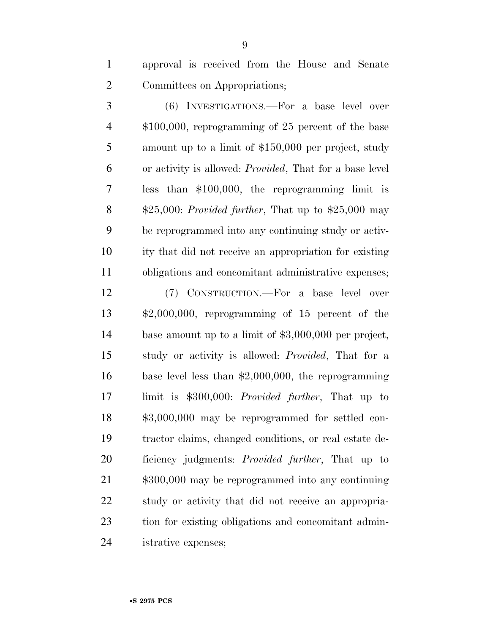approval is received from the House and Senate Committees on Appropriations;

 (6) INVESTIGATIONS.—For a base level over \$100,000, reprogramming of 25 percent of the base amount up to a limit of \$150,000 per project, study or activity is allowed: *Provided*, That for a base level less than \$100,000, the reprogramming limit is \$25,000: *Provided further*, That up to \$25,000 may be reprogrammed into any continuing study or activ- ity that did not receive an appropriation for existing obligations and concomitant administrative expenses;

 (7) CONSTRUCTION.—For a base level over \$2,000,000, reprogramming of 15 percent of the base amount up to a limit of \$3,000,000 per project, study or activity is allowed: *Provided*, That for a base level less than \$2,000,000, the reprogramming limit is \$300,000: *Provided further*, That up to \$3,000,000 may be reprogrammed for settled con- tractor claims, changed conditions, or real estate de- ficiency judgments: *Provided further*, That up to \$300,000 may be reprogrammed into any continuing study or activity that did not receive an appropria- tion for existing obligations and concomitant admin-istrative expenses;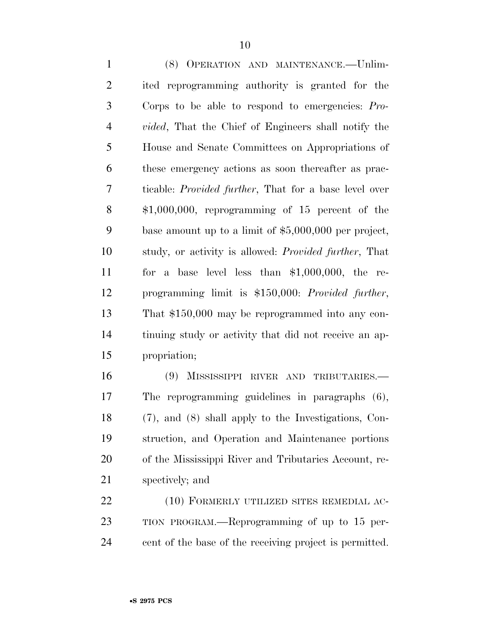(8) OPERATION AND MAINTENANCE.—Unlim- ited reprogramming authority is granted for the Corps to be able to respond to emergencies: *Pro- vided*, That the Chief of Engineers shall notify the House and Senate Committees on Appropriations of these emergency actions as soon thereafter as prac- ticable: *Provided further*, That for a base level over \$1,000,000, reprogramming of 15 percent of the base amount up to a limit of \$5,000,000 per project, study, or activity is allowed: *Provided further*, That for a base level less than \$1,000,000, the re- programming limit is \$150,000: *Provided further*, That \$150,000 may be reprogrammed into any con- tinuing study or activity that did not receive an ap-propriation;

 (9) MISSISSIPPI RIVER AND TRIBUTARIES.— The reprogramming guidelines in paragraphs (6), (7), and (8) shall apply to the Investigations, Con- struction, and Operation and Maintenance portions of the Mississippi River and Tributaries Account, re-spectively; and

22 (10) FORMERLY UTILIZED SITES REMEDIAL AC- TION PROGRAM.—Reprogramming of up to 15 per-cent of the base of the receiving project is permitted.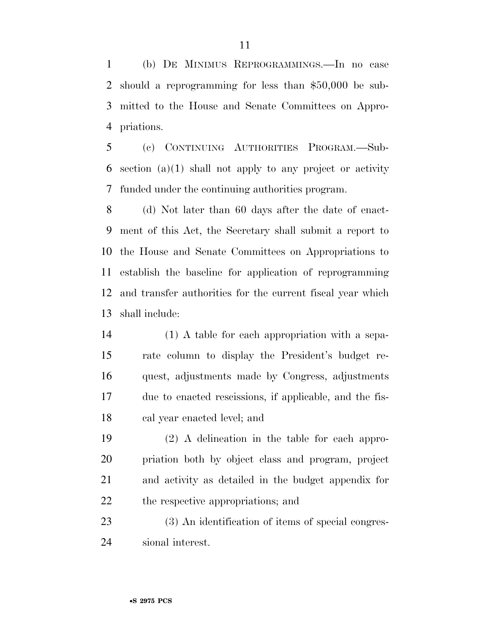(b) DE MINIMUS REPROGRAMMINGS.—In no case should a reprogramming for less than \$50,000 be sub- mitted to the House and Senate Committees on Appro-priations.

 (c) CONTINUING AUTHORITIES PROGRAM.—Sub-6 section  $(a)(1)$  shall not apply to any project or activity funded under the continuing authorities program.

 (d) Not later than 60 days after the date of enact- ment of this Act, the Secretary shall submit a report to the House and Senate Committees on Appropriations to establish the baseline for application of reprogramming and transfer authorities for the current fiscal year which shall include:

 (1) A table for each appropriation with a sepa- rate column to display the President's budget re- quest, adjustments made by Congress, adjustments due to enacted rescissions, if applicable, and the fis-cal year enacted level; and

 (2) A delineation in the table for each appro- priation both by object class and program, project and activity as detailed in the budget appendix for the respective appropriations; and

 (3) An identification of items of special congres-sional interest.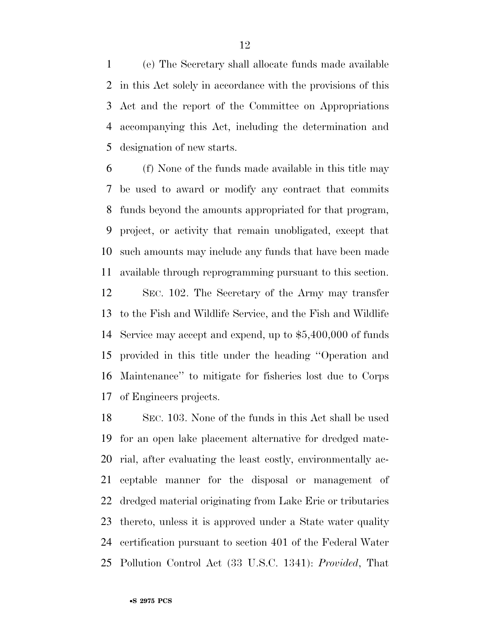(e) The Secretary shall allocate funds made available in this Act solely in accordance with the provisions of this Act and the report of the Committee on Appropriations accompanying this Act, including the determination and designation of new starts.

 (f) None of the funds made available in this title may be used to award or modify any contract that commits funds beyond the amounts appropriated for that program, project, or activity that remain unobligated, except that such amounts may include any funds that have been made available through reprogramming pursuant to this section.

 SEC. 102. The Secretary of the Army may transfer to the Fish and Wildlife Service, and the Fish and Wildlife Service may accept and expend, up to \$5,400,000 of funds provided in this title under the heading ''Operation and Maintenance'' to mitigate for fisheries lost due to Corps of Engineers projects.

 SEC. 103. None of the funds in this Act shall be used for an open lake placement alternative for dredged mate- rial, after evaluating the least costly, environmentally ac- ceptable manner for the disposal or management of dredged material originating from Lake Erie or tributaries thereto, unless it is approved under a State water quality certification pursuant to section 401 of the Federal Water Pollution Control Act (33 U.S.C. 1341): *Provided*, That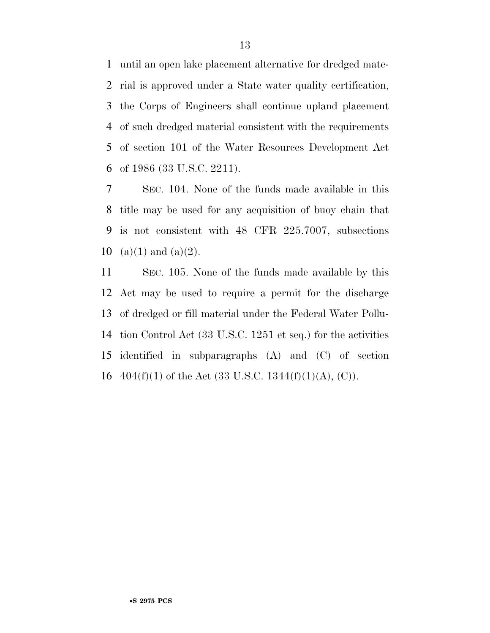until an open lake placement alternative for dredged mate- rial is approved under a State water quality certification, the Corps of Engineers shall continue upland placement of such dredged material consistent with the requirements of section 101 of the Water Resources Development Act of 1986 (33 U.S.C. 2211).

 SEC. 104. None of the funds made available in this title may be used for any acquisition of buoy chain that is not consistent with 48 CFR 225.7007, subsections 10 (a)(1) and (a)(2).

 SEC. 105. None of the funds made available by this Act may be used to require a permit for the discharge of dredged or fill material under the Federal Water Pollu- tion Control Act (33 U.S.C. 1251 et seq.) for the activities identified in subparagraphs (A) and (C) of section  $404(f)(1)$  of the Act (33 U.S.C. 1344(f)(1)(A), (C)).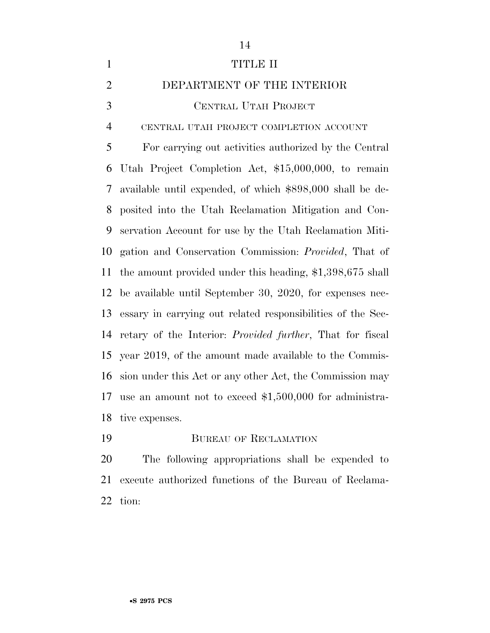| $\mathbf{1}$   | <b>TITLE II</b>                                                   |
|----------------|-------------------------------------------------------------------|
| $\overline{2}$ | DEPARTMENT OF THE INTERIOR                                        |
| 3              | CENTRAL UTAH PROJECT                                              |
| $\overline{4}$ | CENTRAL UTAH PROJECT COMPLETION ACCOUNT                           |
| 5              | For carrying out activities authorized by the Central             |
| 6              | Utah Project Completion Act, \$15,000,000, to remain              |
| 7              | available until expended, of which \$898,000 shall be de-         |
| 8              | posited into the Utah Reclamation Mitigation and Con-             |
| 9              | servation Account for use by the Utah Reclamation Miti-           |
| 10             | gation and Conservation Commission: <i>Provided</i> , That of     |
| 11             | the amount provided under this heading, $$1,398,675$ shall        |
| 12             | be available until September 30, 2020, for expenses nec-          |
| 13             | essary in carrying out related responsibilities of the Sec-       |
| 14             | retary of the Interior: <i>Provided further</i> , That for fiscal |
| 15             | year 2019, of the amount made available to the Commis-            |
| 16             | sion under this Act or any other Act, the Commission may          |
| 17             | use an amount not to exceed $$1,500,000$ for administra-          |
| 18             | tive expenses.                                                    |
| 19             | <b>BUREAU OF RECLAMATION</b>                                      |

 The following appropriations shall be expended to execute authorized functions of the Bureau of Reclama-tion: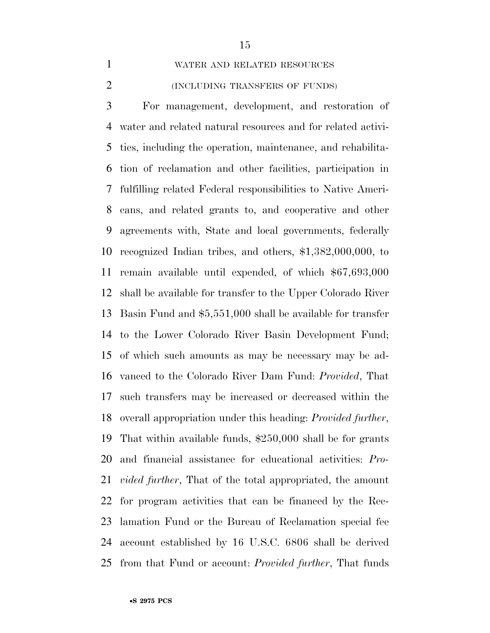WATER AND RELATED RESOURCES

#### (INCLUDING TRANSFERS OF FUNDS)

 For management, development, and restoration of water and related natural resources and for related activi- ties, including the operation, maintenance, and rehabilita- tion of reclamation and other facilities, participation in fulfilling related Federal responsibilities to Native Ameri- cans, and related grants to, and cooperative and other agreements with, State and local governments, federally recognized Indian tribes, and others, \$1,382,000,000, to remain available until expended, of which \$67,693,000 shall be available for transfer to the Upper Colorado River Basin Fund and \$5,551,000 shall be available for transfer to the Lower Colorado River Basin Development Fund; of which such amounts as may be necessary may be ad- vanced to the Colorado River Dam Fund: *Provided*, That such transfers may be increased or decreased within the overall appropriation under this heading: *Provided further*, That within available funds, \$250,000 shall be for grants and financial assistance for educational activities: *Pro- vided further*, That of the total appropriated, the amount for program activities that can be financed by the Rec- lamation Fund or the Bureau of Reclamation special fee account established by 16 U.S.C. 6806 shall be derived from that Fund or account: *Provided further*, That funds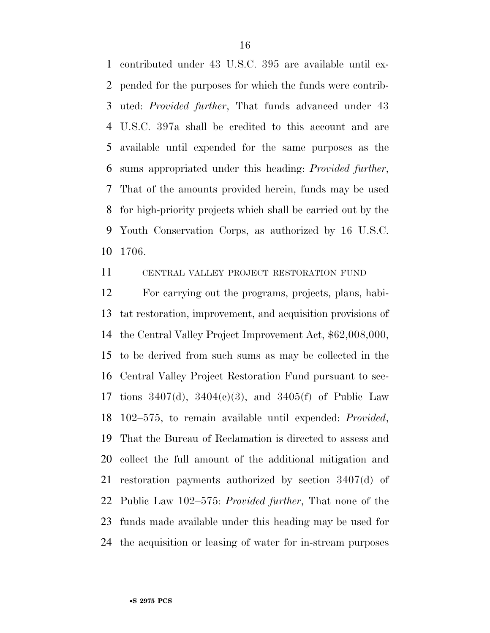contributed under 43 U.S.C. 395 are available until ex- pended for the purposes for which the funds were contrib- uted: *Provided further*, That funds advanced under 43 U.S.C. 397a shall be credited to this account and are available until expended for the same purposes as the sums appropriated under this heading: *Provided further*, That of the amounts provided herein, funds may be used for high-priority projects which shall be carried out by the Youth Conservation Corps, as authorized by 16 U.S.C. 1706.

CENTRAL VALLEY PROJECT RESTORATION FUND

 For carrying out the programs, projects, plans, habi- tat restoration, improvement, and acquisition provisions of the Central Valley Project Improvement Act, \$62,008,000, to be derived from such sums as may be collected in the Central Valley Project Restoration Fund pursuant to sec- tions 3407(d), 3404(c)(3), and 3405(f) of Public Law 102–575, to remain available until expended: *Provided*, That the Bureau of Reclamation is directed to assess and collect the full amount of the additional mitigation and restoration payments authorized by section 3407(d) of Public Law 102–575: *Provided further*, That none of the funds made available under this heading may be used for the acquisition or leasing of water for in-stream purposes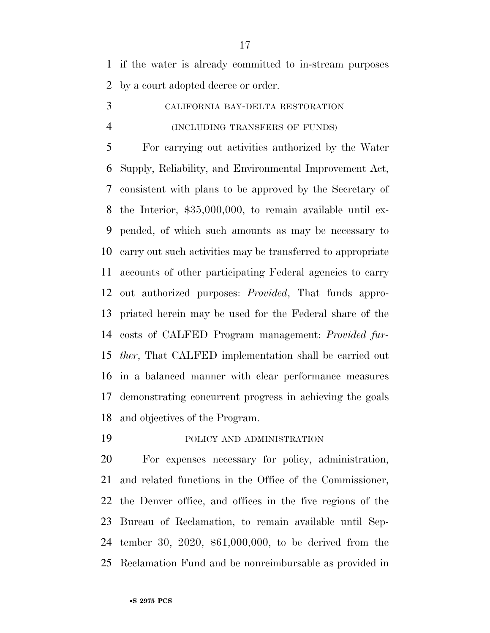if the water is already committed to in-stream purposes by a court adopted decree or order.

 CALIFORNIA BAY-DELTA RESTORATION (INCLUDING TRANSFERS OF FUNDS)

 For carrying out activities authorized by the Water Supply, Reliability, and Environmental Improvement Act, consistent with plans to be approved by the Secretary of the Interior, \$35,000,000, to remain available until ex- pended, of which such amounts as may be necessary to carry out such activities may be transferred to appropriate accounts of other participating Federal agencies to carry out authorized purposes: *Provided*, That funds appro- priated herein may be used for the Federal share of the costs of CALFED Program management: *Provided fur- ther*, That CALFED implementation shall be carried out in a balanced manner with clear performance measures demonstrating concurrent progress in achieving the goals and objectives of the Program.

POLICY AND ADMINISTRATION

 For expenses necessary for policy, administration, and related functions in the Office of the Commissioner, the Denver office, and offices in the five regions of the Bureau of Reclamation, to remain available until Sep- tember 30, 2020, \$61,000,000, to be derived from the Reclamation Fund and be nonreimbursable as provided in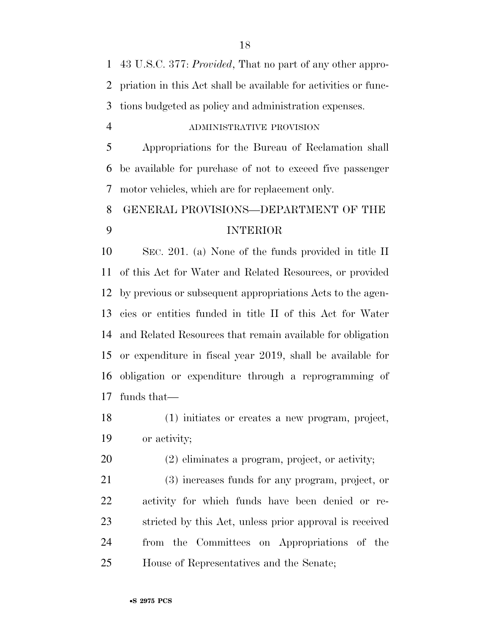43 U.S.C. 377: *Provided*, That no part of any other appro- priation in this Act shall be available for activities or func-tions budgeted as policy and administration expenses.

#### ADMINISTRATIVE PROVISION

 Appropriations for the Bureau of Reclamation shall be available for purchase of not to exceed five passenger motor vehicles, which are for replacement only.

# GENERAL PROVISIONS—DEPARTMENT OF THE INTERIOR

 SEC. 201. (a) None of the funds provided in title II of this Act for Water and Related Resources, or provided by previous or subsequent appropriations Acts to the agen- cies or entities funded in title II of this Act for Water and Related Resources that remain available for obligation or expenditure in fiscal year 2019, shall be available for obligation or expenditure through a reprogramming of funds that—

 (1) initiates or creates a new program, project, or activity;

(2) eliminates a program, project, or activity;

 (3) increases funds for any program, project, or activity for which funds have been denied or re- stricted by this Act, unless prior approval is received from the Committees on Appropriations of the House of Representatives and the Senate;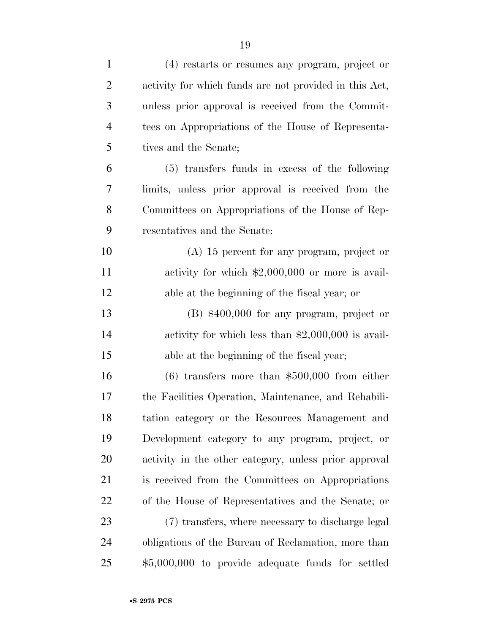| $\mathbf{1}$   | (4) restarts or resumes any program, project or        |
|----------------|--------------------------------------------------------|
| $\overline{2}$ | activity for which funds are not provided in this Act, |
| 3              | unless prior approval is received from the Commit-     |
| $\overline{4}$ | tees on Appropriations of the House of Representa-     |
| 5              | tives and the Senate;                                  |
| 6              | (5) transfers funds in excess of the following         |
| 7              | limits, unless prior approval is received from the     |
| 8              | Committees on Appropriations of the House of Rep-      |
| 9              | resentatives and the Senate:                           |
| 10             | $(A)$ 15 percent for any program, project or           |
| 11             | activity for which $\$2,000,000$ or more is avail-     |
| 12             | able at the beginning of the fiscal year; or           |
| 13             | $(B)$ \$400,000 for any program, project or            |
| 14             | activity for which less than $$2,000,000$ is avail-    |
| 15             | able at the beginning of the fiscal year;              |
| 16             | $(6)$ transfers more than \$500,000 from either        |
| 17             | the Facilities Operation, Maintenance, and Rehabili-   |
| 18             | tation category or the Resources Management and        |
| 19             | Development category to any program, project, or       |
| <b>20</b>      | activity in the other category, unless prior approval  |
| 21             | is received from the Committees on Appropriations      |
| 22             | of the House of Representatives and the Senate; or     |
| 23             | (7) transfers, where necessary to discharge legal      |
| 24             | obligations of the Bureau of Reclamation, more than    |
| 25             | \$5,000,000 to provide adequate funds for settled      |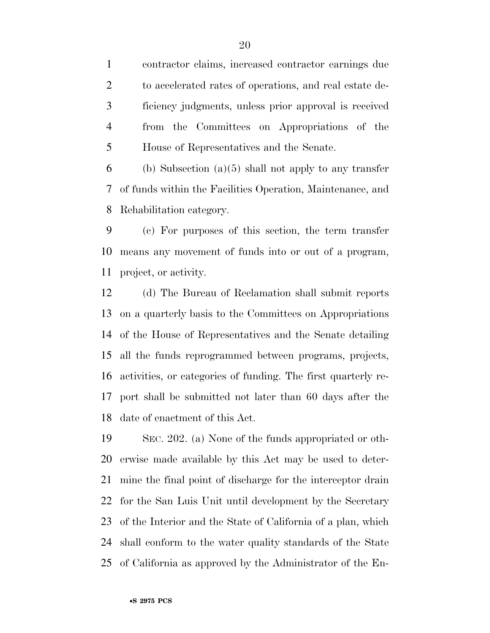contractor claims, increased contractor earnings due to accelerated rates of operations, and real estate de- ficiency judgments, unless prior approval is received from the Committees on Appropriations of the House of Representatives and the Senate.

6 (b) Subsection (a)(5) shall not apply to any transfer of funds within the Facilities Operation, Maintenance, and Rehabilitation category.

 (c) For purposes of this section, the term transfer means any movement of funds into or out of a program, project, or activity.

 (d) The Bureau of Reclamation shall submit reports on a quarterly basis to the Committees on Appropriations of the House of Representatives and the Senate detailing all the funds reprogrammed between programs, projects, activities, or categories of funding. The first quarterly re- port shall be submitted not later than 60 days after the date of enactment of this Act.

 SEC. 202. (a) None of the funds appropriated or oth- erwise made available by this Act may be used to deter- mine the final point of discharge for the interceptor drain for the San Luis Unit until development by the Secretary of the Interior and the State of California of a plan, which shall conform to the water quality standards of the State of California as approved by the Administrator of the En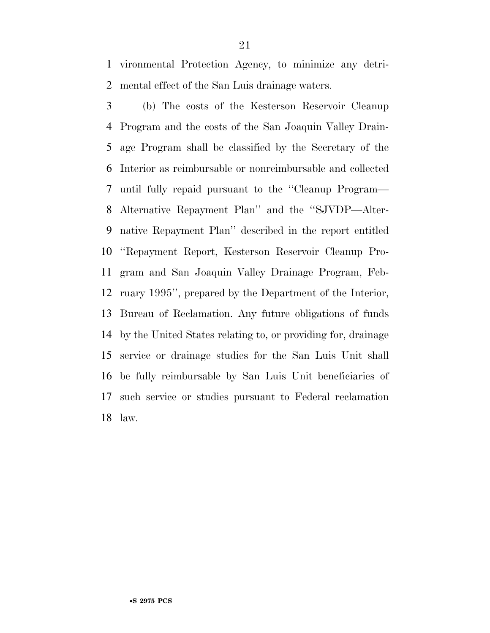vironmental Protection Agency, to minimize any detri-mental effect of the San Luis drainage waters.

 (b) The costs of the Kesterson Reservoir Cleanup Program and the costs of the San Joaquin Valley Drain- age Program shall be classified by the Secretary of the Interior as reimbursable or nonreimbursable and collected until fully repaid pursuant to the ''Cleanup Program— Alternative Repayment Plan'' and the ''SJVDP—Alter- native Repayment Plan'' described in the report entitled ''Repayment Report, Kesterson Reservoir Cleanup Pro- gram and San Joaquin Valley Drainage Program, Feb- ruary 1995'', prepared by the Department of the Interior, Bureau of Reclamation. Any future obligations of funds by the United States relating to, or providing for, drainage service or drainage studies for the San Luis Unit shall be fully reimbursable by San Luis Unit beneficiaries of such service or studies pursuant to Federal reclamation law.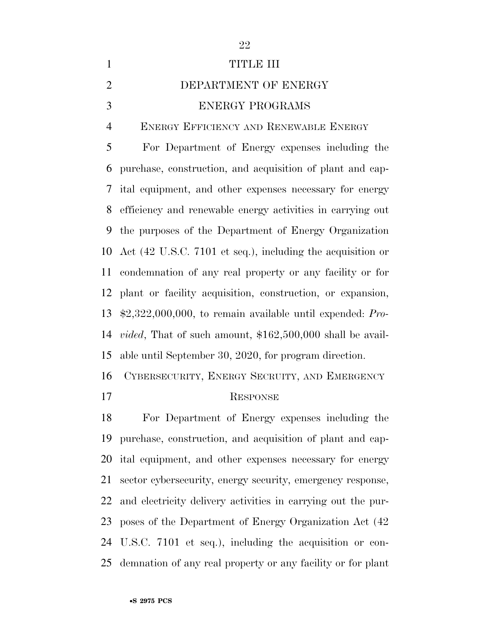| $\mathbf{1}$   | <b>TITLE III</b>                                                   |
|----------------|--------------------------------------------------------------------|
| $\overline{2}$ | DEPARTMENT OF ENERGY                                               |
| 3              | <b>ENERGY PROGRAMS</b>                                             |
| $\overline{4}$ | ENERGY EFFICIENCY AND RENEWABLE ENERGY                             |
| 5              | For Department of Energy expenses including the                    |
| 6              | purchase, construction, and acquisition of plant and cap-          |
| 7              | ital equipment, and other expenses necessary for energy            |
| 8              | efficiency and renewable energy activities in carrying out         |
| 9              | the purposes of the Department of Energy Organization              |
| 10             | Act (42 U.S.C. 7101 et seq.), including the acquisition or         |
| 11             | condemnation of any real property or any facility or for           |
| 12             | plant or facility acquisition, construction, or expansion,         |
| 13             | $\text{$2,322,000,000}$, to remain available until expanded: Pro-$ |
| 14             | <i>vided</i> , That of such amount, $$162,500,000$ shall be avail- |
| 15             | able until September 30, 2020, for program direction.              |
| 16             | CYBERSECURITY, ENERGY SECRUITY, AND EMERGENCY                      |
| 17             | <b>RESPONSE</b>                                                    |
| 18             | For Department of Energy expenses including the                    |
| 19             | purchase, construction, and acquisition of plant and cap-          |
|                |                                                                    |

 ital equipment, and other expenses necessary for energy sector cybersecurity, energy security, emergency response, and electricity delivery activities in carrying out the pur- poses of the Department of Energy Organization Act (42 U.S.C. 7101 et seq.), including the acquisition or con-demnation of any real property or any facility or for plant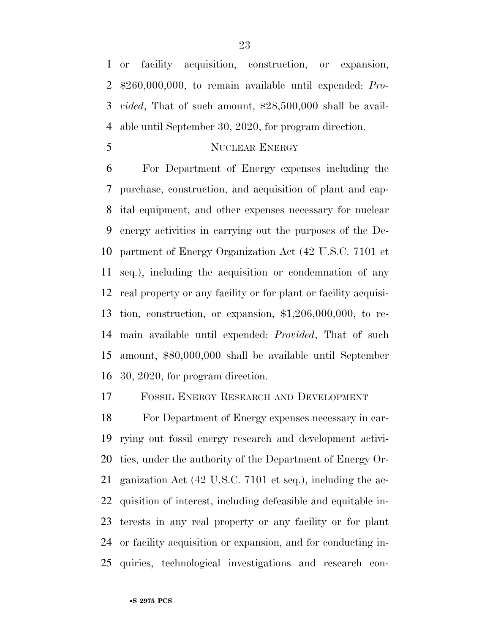or facility acquisition, construction, or expansion, \$260,000,000, to remain available until expended: *Pro- vided*, That of such amount, \$28,500,000 shall be avail-able until September 30, 2020, for program direction.

5 NUCLEAR ENERGY

 For Department of Energy expenses including the purchase, construction, and acquisition of plant and cap- ital equipment, and other expenses necessary for nuclear energy activities in carrying out the purposes of the De- partment of Energy Organization Act (42 U.S.C. 7101 et seq.), including the acquisition or condemnation of any real property or any facility or for plant or facility acquisi- tion, construction, or expansion, \$1,206,000,000, to re- main available until expended: *Provided*, That of such amount, \$80,000,000 shall be available until September 30, 2020, for program direction.

FOSSIL ENERGY RESEARCH AND DEVELOPMENT

 For Department of Energy expenses necessary in car- rying out fossil energy research and development activi- ties, under the authority of the Department of Energy Or- ganization Act (42 U.S.C. 7101 et seq.), including the ac- quisition of interest, including defeasible and equitable in- terests in any real property or any facility or for plant or facility acquisition or expansion, and for conducting in-quiries, technological investigations and research con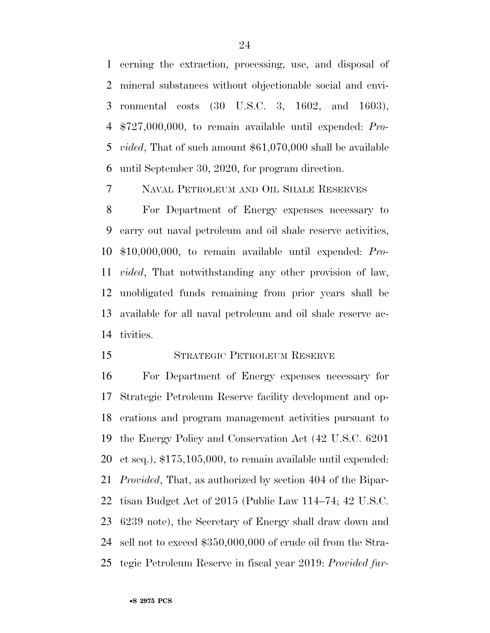cerning the extraction, processing, use, and disposal of mineral substances without objectionable social and envi- ronmental costs (30 U.S.C. 3, 1602, and 1603), \$727,000,000, to remain available until expended: *Pro- vided*, That of such amount \$61,070,000 shall be available until September 30, 2020, for program direction.

NAVAL PETROLEUM AND OIL SHALE RESERVES

 For Department of Energy expenses necessary to carry out naval petroleum and oil shale reserve activities, \$10,000,000, to remain available until expended: *Pro- vided*, That notwithstanding any other provision of law, unobligated funds remaining from prior years shall be available for all naval petroleum and oil shale reserve ac-tivities.

#### STRATEGIC PETROLEUM RESERVE

 For Department of Energy expenses necessary for Strategic Petroleum Reserve facility development and op- erations and program management activities pursuant to the Energy Policy and Conservation Act (42 U.S.C. 6201 et seq.), \$175,105,000, to remain available until expended: *Provided*, That, as authorized by section 404 of the Bipar- tisan Budget Act of 2015 (Public Law 114–74; 42 U.S.C. 6239 note), the Secretary of Energy shall draw down and sell not to exceed \$350,000,000 of crude oil from the Stra-tegic Petroleum Reserve in fiscal year 2019: *Provided fur-*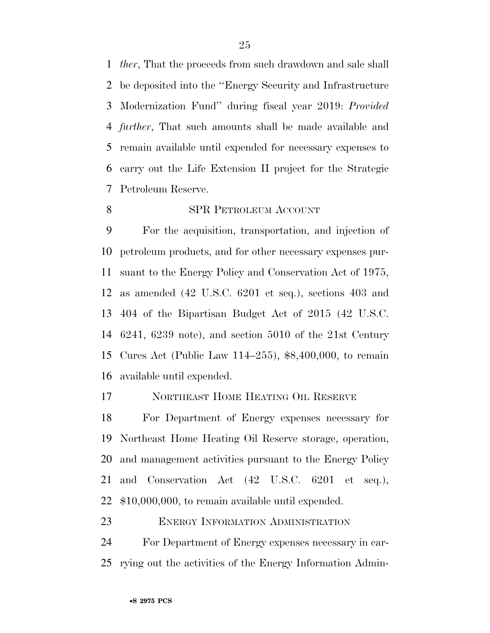*ther*, That the proceeds from such drawdown and sale shall be deposited into the ''Energy Security and Infrastructure Modernization Fund'' during fiscal year 2019: *Provided further*, That such amounts shall be made available and remain available until expended for necessary expenses to carry out the Life Extension II project for the Strategic Petroleum Reserve.

8 SPR PETROLEUM ACCOUNT

# For the acquisition, transportation, and injection of petroleum products, and for other necessary expenses pur- suant to the Energy Policy and Conservation Act of 1975, as amended (42 U.S.C. 6201 et seq.), sections 403 and 404 of the Bipartisan Budget Act of 2015 (42 U.S.C. 6241, 6239 note), and section 5010 of the 21st Century Cures Act (Public Law 114–255), \$8,400,000, to remain

available until expended.

#### 17 NORTHEAST HOME HEATING OIL RESERVE

 For Department of Energy expenses necessary for Northeast Home Heating Oil Reserve storage, operation, and management activities pursuant to the Energy Policy and Conservation Act (42 U.S.C. 6201 et seq.), \$10,000,000, to remain available until expended.

ENERGY INFORMATION ADMINISTRATION

 For Department of Energy expenses necessary in car-rying out the activities of the Energy Information Admin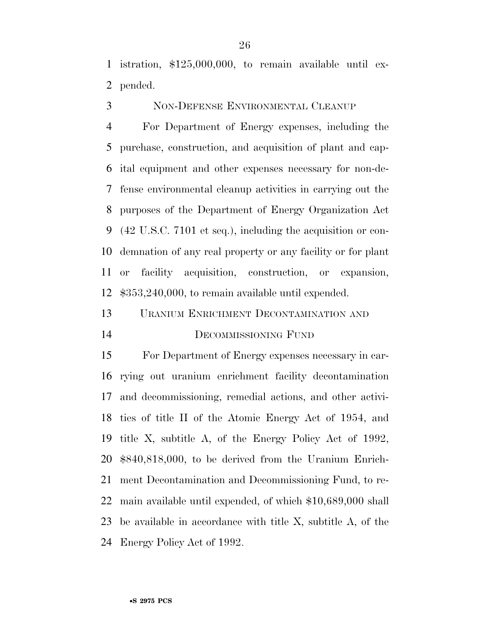istration, \$125,000,000, to remain available until ex-pended.

NON-DEFENSE ENVIRONMENTAL CLEANUP

 For Department of Energy expenses, including the purchase, construction, and acquisition of plant and cap- ital equipment and other expenses necessary for non-de- fense environmental cleanup activities in carrying out the purposes of the Department of Energy Organization Act (42 U.S.C. 7101 et seq.), including the acquisition or con- demnation of any real property or any facility or for plant or facility acquisition, construction, or expansion, \$353,240,000, to remain available until expended.

 URANIUM ENRICHMENT DECONTAMINATION AND DECOMMISSIONING FUND

 For Department of Energy expenses necessary in car- rying out uranium enrichment facility decontamination and decommissioning, remedial actions, and other activi- ties of title II of the Atomic Energy Act of 1954, and title X, subtitle A, of the Energy Policy Act of 1992, \$840,818,000, to be derived from the Uranium Enrich- ment Decontamination and Decommissioning Fund, to re- main available until expended, of which \$10,689,000 shall be available in accordance with title X, subtitle A, of the Energy Policy Act of 1992.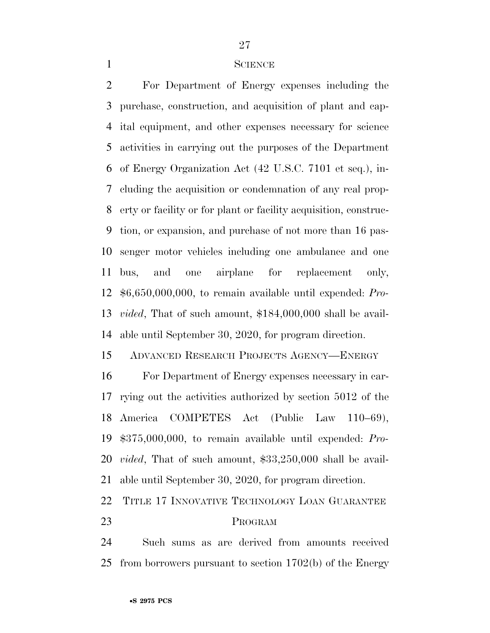#### 

#### SCIENCE

 For Department of Energy expenses including the purchase, construction, and acquisition of plant and cap- ital equipment, and other expenses necessary for science activities in carrying out the purposes of the Department of Energy Organization Act (42 U.S.C. 7101 et seq.), in- cluding the acquisition or condemnation of any real prop- erty or facility or for plant or facility acquisition, construc- tion, or expansion, and purchase of not more than 16 pas- senger motor vehicles including one ambulance and one bus, and one airplane for replacement only, \$6,650,000,000, to remain available until expended: *Pro- vided*, That of such amount, \$184,000,000 shall be avail-able until September 30, 2020, for program direction.

ADVANCED RESEARCH PROJECTS AGENCY—ENERGY

 For Department of Energy expenses necessary in car- rying out the activities authorized by section 5012 of the America COMPETES Act (Public Law 110–69), \$375,000,000, to remain available until expended: *Pro- vided*, That of such amount, \$33,250,000 shall be avail-able until September 30, 2020, for program direction.

TITLE 17 INNOVATIVE TECHNOLOGY LOAN GUARANTEE

#### PROGRAM

 Such sums as are derived from amounts received from borrowers pursuant to section 1702(b) of the Energy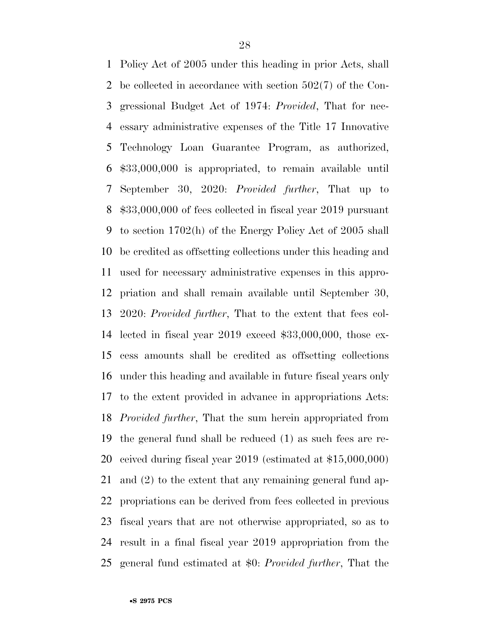Policy Act of 2005 under this heading in prior Acts, shall be collected in accordance with section 502(7) of the Con- gressional Budget Act of 1974: *Provided*, That for nec- essary administrative expenses of the Title 17 Innovative Technology Loan Guarantee Program, as authorized, \$33,000,000 is appropriated, to remain available until September 30, 2020: *Provided further*, That up to \$33,000,000 of fees collected in fiscal year 2019 pursuant to section 1702(h) of the Energy Policy Act of 2005 shall be credited as offsetting collections under this heading and used for necessary administrative expenses in this appro- priation and shall remain available until September 30, 2020: *Provided further*, That to the extent that fees col- lected in fiscal year 2019 exceed \$33,000,000, those ex- cess amounts shall be credited as offsetting collections under this heading and available in future fiscal years only to the extent provided in advance in appropriations Acts: *Provided further*, That the sum herein appropriated from the general fund shall be reduced (1) as such fees are re- ceived during fiscal year 2019 (estimated at \$15,000,000) and (2) to the extent that any remaining general fund ap- propriations can be derived from fees collected in previous fiscal years that are not otherwise appropriated, so as to result in a final fiscal year 2019 appropriation from the general fund estimated at \$0: *Provided further*, That the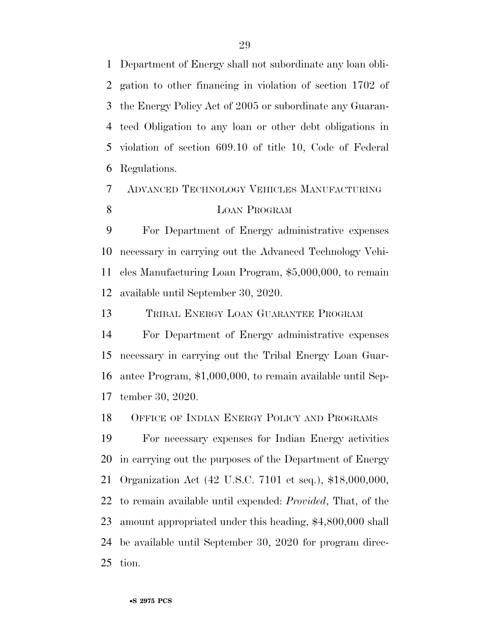Department of Energy shall not subordinate any loan obli- gation to other financing in violation of section 1702 of the Energy Policy Act of 2005 or subordinate any Guaran- teed Obligation to any loan or other debt obligations in violation of section 609.10 of title 10, Code of Federal Regulations.

### ADVANCED TECHNOLOGY VEHICLES MANUFACTURING 8 LOAN PROGRAM

 For Department of Energy administrative expenses necessary in carrying out the Advanced Technology Vehi- cles Manufacturing Loan Program, \$5,000,000, to remain available until September 30, 2020.

TRIBAL ENERGY LOAN GUARANTEE PROGRAM

 For Department of Energy administrative expenses necessary in carrying out the Tribal Energy Loan Guar- antee Program, \$1,000,000, to remain available until Sep-tember 30, 2020.

OFFICE OF INDIAN ENERGY POLICY AND PROGRAMS

 For necessary expenses for Indian Energy activities in carrying out the purposes of the Department of Energy Organization Act (42 U.S.C. 7101 et seq.), \$18,000,000, to remain available until expended: *Provided*, That, of the amount appropriated under this heading, \$4,800,000 shall be available until September 30, 2020 for program direc-tion.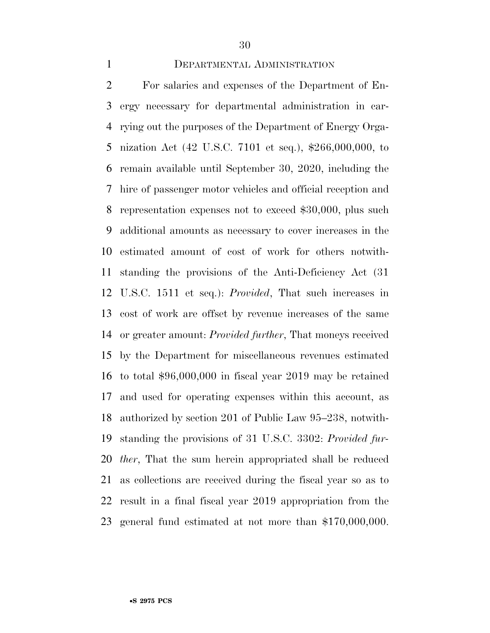#### DEPARTMENTAL ADMINISTRATION

 For salaries and expenses of the Department of En- ergy necessary for departmental administration in car- rying out the purposes of the Department of Energy Orga- nization Act (42 U.S.C. 7101 et seq.), \$266,000,000, to remain available until September 30, 2020, including the hire of passenger motor vehicles and official reception and representation expenses not to exceed \$30,000, plus such additional amounts as necessary to cover increases in the estimated amount of cost of work for others notwith- standing the provisions of the Anti-Deficiency Act (31 U.S.C. 1511 et seq.): *Provided*, That such increases in cost of work are offset by revenue increases of the same or greater amount: *Provided further*, That moneys received by the Department for miscellaneous revenues estimated to total \$96,000,000 in fiscal year 2019 may be retained and used for operating expenses within this account, as authorized by section 201 of Public Law 95–238, notwith- standing the provisions of 31 U.S.C. 3302: *Provided fur- ther*, That the sum herein appropriated shall be reduced as collections are received during the fiscal year so as to result in a final fiscal year 2019 appropriation from the general fund estimated at not more than \$170,000,000.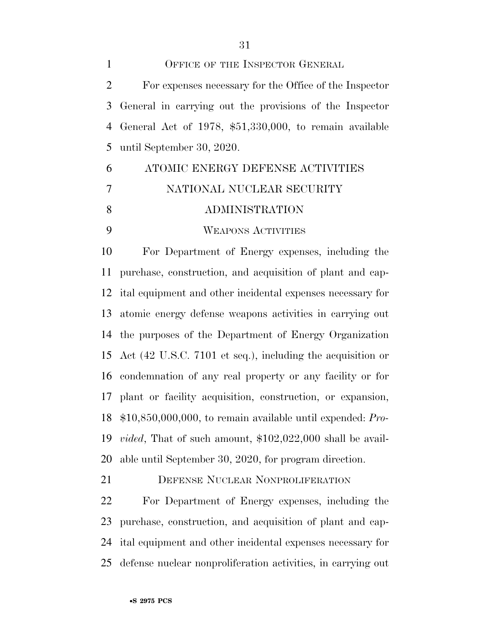1 OFFICE OF THE INSPECTOR GENERAL For expenses necessary for the Office of the Inspector General in carrying out the provisions of the Inspector General Act of 1978, \$51,330,000, to remain available until September 30, 2020.

# ATOMIC ENERGY DEFENSE ACTIVITIES NATIONAL NUCLEAR SECURITY ADMINISTRATION

WEAPONS ACTIVITIES

 For Department of Energy expenses, including the purchase, construction, and acquisition of plant and cap- ital equipment and other incidental expenses necessary for atomic energy defense weapons activities in carrying out the purposes of the Department of Energy Organization Act (42 U.S.C. 7101 et seq.), including the acquisition or condemnation of any real property or any facility or for plant or facility acquisition, construction, or expansion, \$10,850,000,000, to remain available until expended: *Pro- vided*, That of such amount, \$102,022,000 shall be avail-able until September 30, 2020, for program direction.

DEFENSE NUCLEAR NONPROLIFERATION

 For Department of Energy expenses, including the purchase, construction, and acquisition of plant and cap- ital equipment and other incidental expenses necessary for defense nuclear nonproliferation activities, in carrying out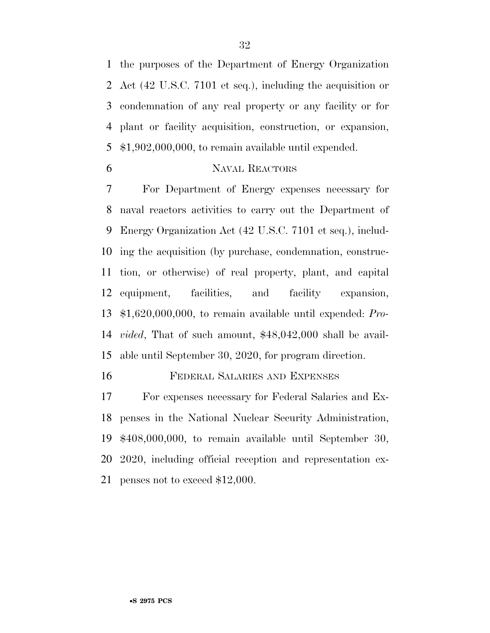the purposes of the Department of Energy Organization Act (42 U.S.C. 7101 et seq.), including the acquisition or condemnation of any real property or any facility or for plant or facility acquisition, construction, or expansion, \$1,902,000,000, to remain available until expended.

#### NAVAL REACTORS

 For Department of Energy expenses necessary for naval reactors activities to carry out the Department of Energy Organization Act (42 U.S.C. 7101 et seq.), includ- ing the acquisition (by purchase, condemnation, construc- tion, or otherwise) of real property, plant, and capital equipment, facilities, and facility expansion, \$1,620,000,000, to remain available until expended: *Pro- vided*, That of such amount, \$48,042,000 shall be avail-able until September 30, 2020, for program direction.

FEDERAL SALARIES AND EXPENSES

 For expenses necessary for Federal Salaries and Ex- penses in the National Nuclear Security Administration, \$408,000,000, to remain available until September 30, 2020, including official reception and representation ex-penses not to exceed \$12,000.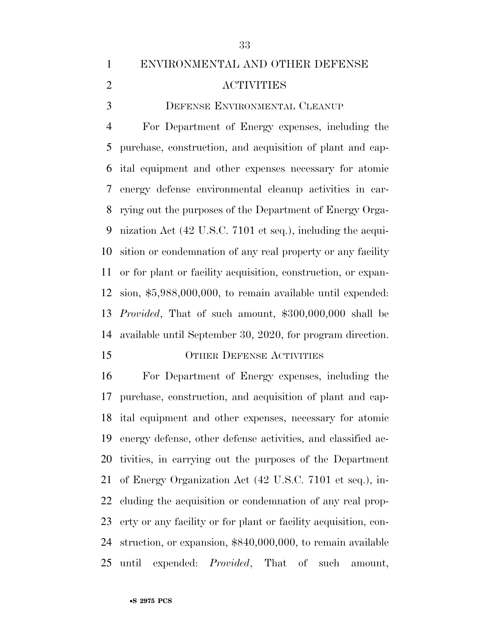## ENVIRONMENTAL AND OTHER DEFENSE ACTIVITIES

DEFENSE ENVIRONMENTAL CLEANUP

 For Department of Energy expenses, including the purchase, construction, and acquisition of plant and cap- ital equipment and other expenses necessary for atomic energy defense environmental cleanup activities in car- rying out the purposes of the Department of Energy Orga- nization Act (42 U.S.C. 7101 et seq.), including the acqui- sition or condemnation of any real property or any facility or for plant or facility acquisition, construction, or expan- sion, \$5,988,000,000, to remain available until expended: *Provided*, That of such amount, \$300,000,000 shall be available until September 30, 2020, for program direction.

#### 15 OTHER DEFENSE ACTIVITIES

 For Department of Energy expenses, including the purchase, construction, and acquisition of plant and cap- ital equipment and other expenses, necessary for atomic energy defense, other defense activities, and classified ac- tivities, in carrying out the purposes of the Department of Energy Organization Act (42 U.S.C. 7101 et seq.), in- cluding the acquisition or condemnation of any real prop- erty or any facility or for plant or facility acquisition, con- struction, or expansion, \$840,000,000, to remain available until expended: *Provided*, That of such amount,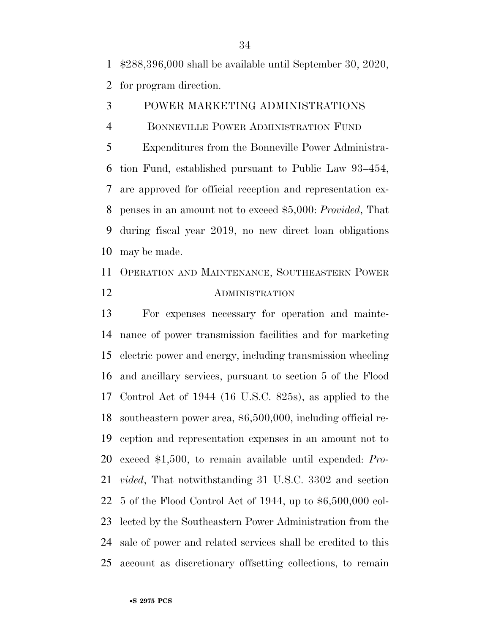\$288,396,000 shall be available until September 30, 2020,

for program direction.

- POWER MARKETING ADMINISTRATIONS
- BONNEVILLE POWER ADMINISTRATION FUND

 Expenditures from the Bonneville Power Administra- tion Fund, established pursuant to Public Law 93–454, are approved for official reception and representation ex- penses in an amount not to exceed \$5,000: *Provided*, That during fiscal year 2019, no new direct loan obligations may be made.

## OPERATION AND MAINTENANCE, SOUTHEASTERN POWER ADMINISTRATION

 For expenses necessary for operation and mainte- nance of power transmission facilities and for marketing electric power and energy, including transmission wheeling and ancillary services, pursuant to section 5 of the Flood Control Act of 1944 (16 U.S.C. 825s), as applied to the southeastern power area, \$6,500,000, including official re- ception and representation expenses in an amount not to exceed \$1,500, to remain available until expended: *Pro- vided*, That notwithstanding 31 U.S.C. 3302 and section 5 of the Flood Control Act of 1944, up to \$6,500,000 col- lected by the Southeastern Power Administration from the sale of power and related services shall be credited to this account as discretionary offsetting collections, to remain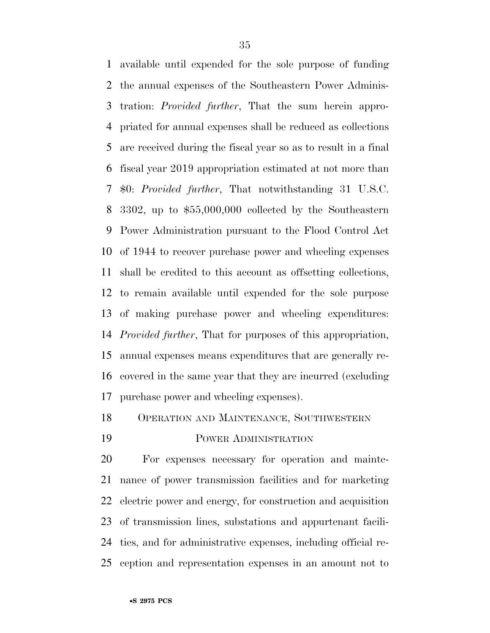available until expended for the sole purpose of funding the annual expenses of the Southeastern Power Adminis- tration: *Provided further*, That the sum herein appro- priated for annual expenses shall be reduced as collections are received during the fiscal year so as to result in a final fiscal year 2019 appropriation estimated at not more than \$0: *Provided further*, That notwithstanding 31 U.S.C. 3302, up to \$55,000,000 collected by the Southeastern Power Administration pursuant to the Flood Control Act of 1944 to recover purchase power and wheeling expenses shall be credited to this account as offsetting collections, to remain available until expended for the sole purpose of making purchase power and wheeling expenditures: *Provided further*, That for purposes of this appropriation, annual expenses means expenditures that are generally re- covered in the same year that they are incurred (excluding purchase power and wheeling expenses).

OPERATION AND MAINTENANCE, SOUTHWESTERN

POWER ADMINISTRATION

 For expenses necessary for operation and mainte- nance of power transmission facilities and for marketing electric power and energy, for construction and acquisition of transmission lines, substations and appurtenant facili- ties, and for administrative expenses, including official re-ception and representation expenses in an amount not to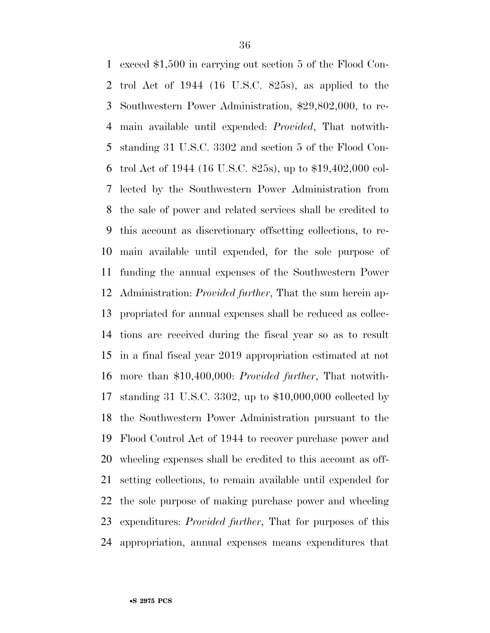exceed \$1,500 in carrying out section 5 of the Flood Con- trol Act of 1944 (16 U.S.C. 825s), as applied to the Southwestern Power Administration, \$29,802,000, to re- main available until expended: *Provided*, That notwith- standing 31 U.S.C. 3302 and section 5 of the Flood Con- trol Act of 1944 (16 U.S.C. 825s), up to \$19,402,000 col- lected by the Southwestern Power Administration from the sale of power and related services shall be credited to this account as discretionary offsetting collections, to re- main available until expended, for the sole purpose of funding the annual expenses of the Southwestern Power Administration: *Provided further*, That the sum herein ap- propriated for annual expenses shall be reduced as collec- tions are received during the fiscal year so as to result in a final fiscal year 2019 appropriation estimated at not more than \$10,400,000: *Provided further*, That notwith- standing 31 U.S.C. 3302, up to \$10,000,000 collected by the Southwestern Power Administration pursuant to the Flood Control Act of 1944 to recover purchase power and wheeling expenses shall be credited to this account as off- setting collections, to remain available until expended for the sole purpose of making purchase power and wheeling expenditures: *Provided further*, That for purposes of this appropriation, annual expenses means expenditures that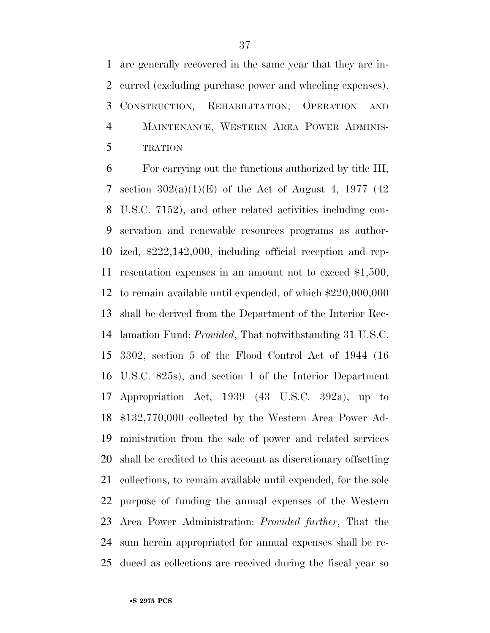are generally recovered in the same year that they are in- curred (excluding purchase power and wheeling expenses). CONSTRUCTION, REHABILITATION, OPERATION AND MAINTENANCE, WESTERN AREA POWER ADMINIS-TRATION

 For carrying out the functions authorized by title III, 7 section  $302(a)(1)(E)$  of the Act of August 4, 1977 (42) U.S.C. 7152), and other related activities including con- servation and renewable resources programs as author- ized, \$222,142,000, including official reception and rep- resentation expenses in an amount not to exceed \$1,500, to remain available until expended, of which \$220,000,000 shall be derived from the Department of the Interior Rec- lamation Fund: *Provided*, That notwithstanding 31 U.S.C. 3302, section 5 of the Flood Control Act of 1944 (16 U.S.C. 825s), and section 1 of the Interior Department Appropriation Act, 1939 (43 U.S.C. 392a), up to \$132,770,000 collected by the Western Area Power Ad- ministration from the sale of power and related services shall be credited to this account as discretionary offsetting collections, to remain available until expended, for the sole purpose of funding the annual expenses of the Western Area Power Administration: *Provided further*, That the sum herein appropriated for annual expenses shall be re-duced as collections are received during the fiscal year so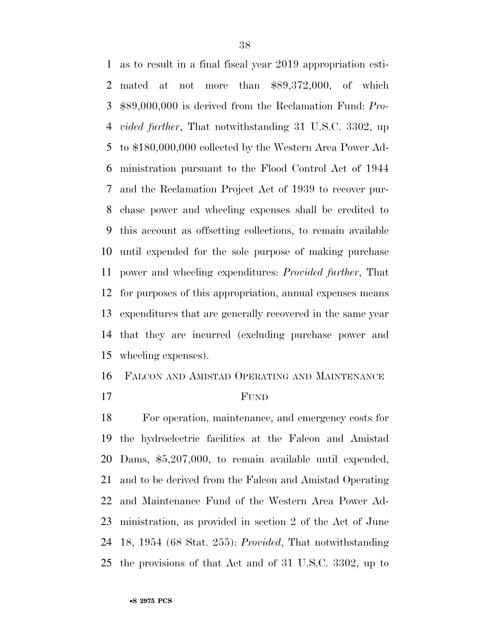as to result in a final fiscal year 2019 appropriation esti- mated at not more than \$89,372,000, of which \$89,000,000 is derived from the Reclamation Fund: *Pro- vided further*, That notwithstanding 31 U.S.C. 3302, up to \$180,000,000 collected by the Western Area Power Ad- ministration pursuant to the Flood Control Act of 1944 and the Reclamation Project Act of 1939 to recover pur- chase power and wheeling expenses shall be credited to this account as offsetting collections, to remain available until expended for the sole purpose of making purchase power and wheeling expenditures: *Provided further*, That for purposes of this appropriation, annual expenses means expenditures that are generally recovered in the same year that they are incurred (excluding purchase power and wheeling expenses).

FALCON AND AMISTAD OPERATING AND MAINTENANCE

FUND

 For operation, maintenance, and emergency costs for the hydroelectric facilities at the Falcon and Amistad Dams, \$5,207,000, to remain available until expended, and to be derived from the Falcon and Amistad Operating and Maintenance Fund of the Western Area Power Ad- ministration, as provided in section 2 of the Act of June 18, 1954 (68 Stat. 255): *Provided*, That notwithstanding the provisions of that Act and of 31 U.S.C. 3302, up to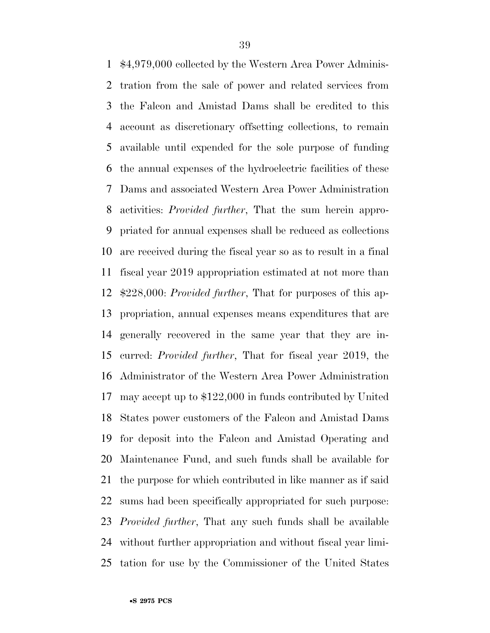\$4,979,000 collected by the Western Area Power Adminis- tration from the sale of power and related services from the Falcon and Amistad Dams shall be credited to this account as discretionary offsetting collections, to remain available until expended for the sole purpose of funding the annual expenses of the hydroelectric facilities of these Dams and associated Western Area Power Administration activities: *Provided further*, That the sum herein appro- priated for annual expenses shall be reduced as collections are received during the fiscal year so as to result in a final fiscal year 2019 appropriation estimated at not more than \$228,000: *Provided further*, That for purposes of this ap- propriation, annual expenses means expenditures that are generally recovered in the same year that they are in- curred: *Provided further*, That for fiscal year 2019, the Administrator of the Western Area Power Administration may accept up to \$122,000 in funds contributed by United States power customers of the Falcon and Amistad Dams for deposit into the Falcon and Amistad Operating and Maintenance Fund, and such funds shall be available for the purpose for which contributed in like manner as if said sums had been specifically appropriated for such purpose: *Provided further*, That any such funds shall be available without further appropriation and without fiscal year limi-tation for use by the Commissioner of the United States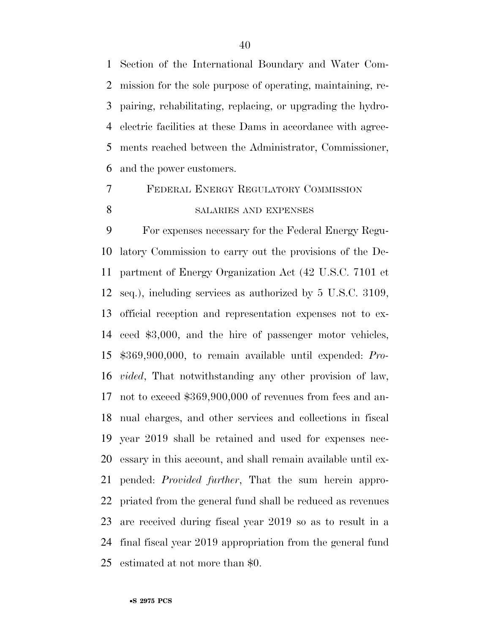Section of the International Boundary and Water Com- mission for the sole purpose of operating, maintaining, re- pairing, rehabilitating, replacing, or upgrading the hydro- electric facilities at these Dams in accordance with agree- ments reached between the Administrator, Commissioner, and the power customers.

# FEDERAL ENERGY REGULATORY COMMISSION

#### 8 SALARIES AND EXPENSES

 For expenses necessary for the Federal Energy Regu- latory Commission to carry out the provisions of the De- partment of Energy Organization Act (42 U.S.C. 7101 et seq.), including services as authorized by 5 U.S.C. 3109, official reception and representation expenses not to ex- ceed \$3,000, and the hire of passenger motor vehicles, \$369,900,000, to remain available until expended: *Pro- vided*, That notwithstanding any other provision of law, not to exceed \$369,900,000 of revenues from fees and an- nual charges, and other services and collections in fiscal year 2019 shall be retained and used for expenses nec- essary in this account, and shall remain available until ex- pended: *Provided further*, That the sum herein appro- priated from the general fund shall be reduced as revenues are received during fiscal year 2019 so as to result in a final fiscal year 2019 appropriation from the general fund estimated at not more than \$0.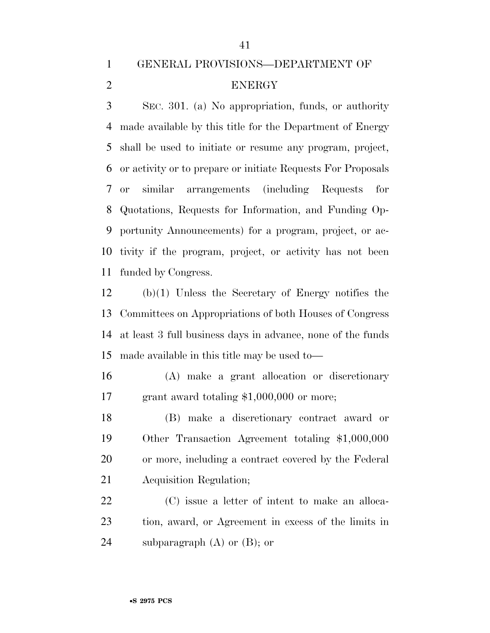### GENERAL PROVISIONS—DEPARTMENT OF ENERGY

 SEC. 301. (a) No appropriation, funds, or authority made available by this title for the Department of Energy shall be used to initiate or resume any program, project, or activity or to prepare or initiate Requests For Proposals or similar arrangements (including Requests for Quotations, Requests for Information, and Funding Op- portunity Announcements) for a program, project, or ac- tivity if the program, project, or activity has not been funded by Congress.

 (b)(1) Unless the Secretary of Energy notifies the Committees on Appropriations of both Houses of Congress at least 3 full business days in advance, none of the funds made available in this title may be used to—

 (A) make a grant allocation or discretionary 17 grant award totaling \$1,000,000 or more;

 (B) make a discretionary contract award or Other Transaction Agreement totaling \$1,000,000 or more, including a contract covered by the Federal Acquisition Regulation;

 (C) issue a letter of intent to make an alloca- tion, award, or Agreement in excess of the limits in 24 subparagraph  $(A)$  or  $(B)$ ; or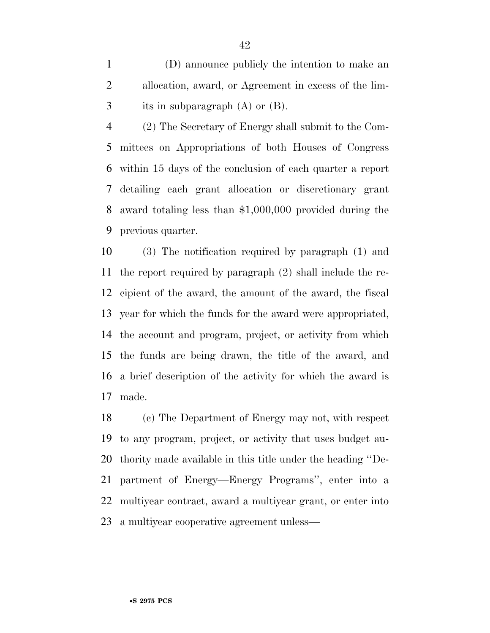(D) announce publicly the intention to make an allocation, award, or Agreement in excess of the lim-its in subparagraph (A) or (B).

 (2) The Secretary of Energy shall submit to the Com- mittees on Appropriations of both Houses of Congress within 15 days of the conclusion of each quarter a report detailing each grant allocation or discretionary grant award totaling less than \$1,000,000 provided during the previous quarter.

 (3) The notification required by paragraph (1) and the report required by paragraph (2) shall include the re- cipient of the award, the amount of the award, the fiscal year for which the funds for the award were appropriated, the account and program, project, or activity from which the funds are being drawn, the title of the award, and a brief description of the activity for which the award is made.

 (c) The Department of Energy may not, with respect to any program, project, or activity that uses budget au- thority made available in this title under the heading ''De- partment of Energy—Energy Programs'', enter into a multiyear contract, award a multiyear grant, or enter into a multiyear cooperative agreement unless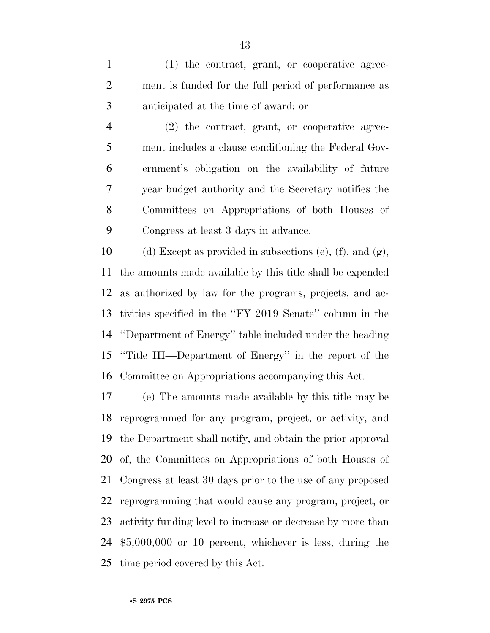(1) the contract, grant, or cooperative agree- ment is funded for the full period of performance as anticipated at the time of award; or

 (2) the contract, grant, or cooperative agree- ment includes a clause conditioning the Federal Gov- ernment's obligation on the availability of future year budget authority and the Secretary notifies the Committees on Appropriations of both Houses of Congress at least 3 days in advance.

10 (d) Except as provided in subsections (e), (f), and  $(g)$ , the amounts made available by this title shall be expended as authorized by law for the programs, projects, and ac- tivities specified in the ''FY 2019 Senate'' column in the ''Department of Energy'' table included under the heading ''Title III—Department of Energy'' in the report of the Committee on Appropriations accompanying this Act.

 (e) The amounts made available by this title may be reprogrammed for any program, project, or activity, and the Department shall notify, and obtain the prior approval of, the Committees on Appropriations of both Houses of Congress at least 30 days prior to the use of any proposed reprogramming that would cause any program, project, or activity funding level to increase or decrease by more than \$5,000,000 or 10 percent, whichever is less, during the time period covered by this Act.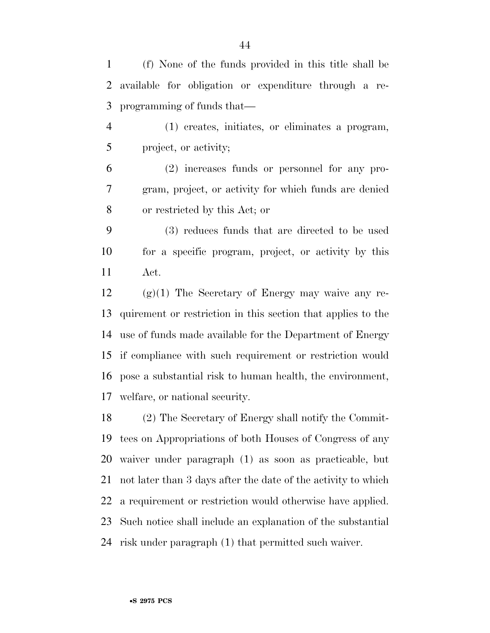(f) None of the funds provided in this title shall be available for obligation or expenditure through a re-programming of funds that—

 (1) creates, initiates, or eliminates a program, project, or activity;

 (2) increases funds or personnel for any pro- gram, project, or activity for which funds are denied or restricted by this Act; or

 (3) reduces funds that are directed to be used for a specific program, project, or activity by this Act.

 (g)(1) The Secretary of Energy may waive any re- quirement or restriction in this section that applies to the use of funds made available for the Department of Energy if compliance with such requirement or restriction would pose a substantial risk to human health, the environment, welfare, or national security.

 (2) The Secretary of Energy shall notify the Commit- tees on Appropriations of both Houses of Congress of any waiver under paragraph (1) as soon as practicable, but not later than 3 days after the date of the activity to which a requirement or restriction would otherwise have applied. Such notice shall include an explanation of the substantial risk under paragraph (1) that permitted such waiver.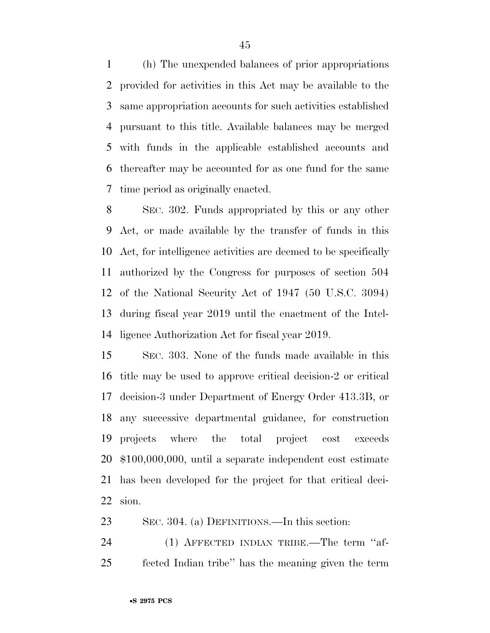(h) The unexpended balances of prior appropriations provided for activities in this Act may be available to the same appropriation accounts for such activities established pursuant to this title. Available balances may be merged with funds in the applicable established accounts and thereafter may be accounted for as one fund for the same time period as originally enacted.

 SEC. 302. Funds appropriated by this or any other Act, or made available by the transfer of funds in this Act, for intelligence activities are deemed to be specifically authorized by the Congress for purposes of section 504 of the National Security Act of 1947 (50 U.S.C. 3094) during fiscal year 2019 until the enactment of the Intel-ligence Authorization Act for fiscal year 2019.

 SEC. 303. None of the funds made available in this title may be used to approve critical decision-2 or critical decision-3 under Department of Energy Order 413.3B, or any successive departmental guidance, for construction projects where the total project cost exceeds \$100,000,000, until a separate independent cost estimate has been developed for the project for that critical deci-sion.

SEC. 304. (a) DEFINITIONS.—In this section:

24 (1) AFFECTED INDIAN TRIBE.—The term "af-fected Indian tribe'' has the meaning given the term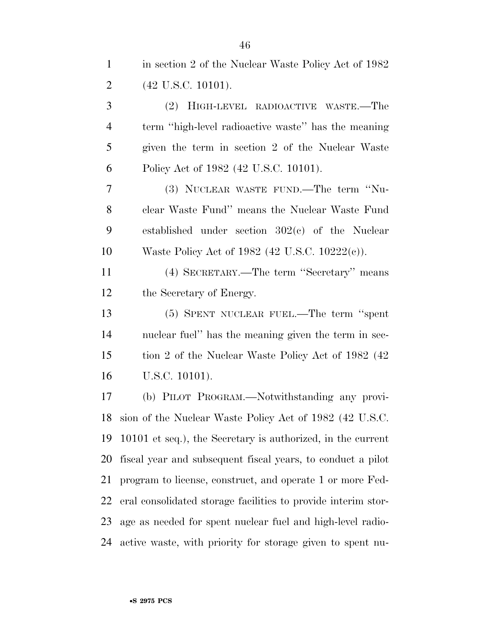1 in section 2 of the Nuclear Waste Policy Act of 1982 (42 U.S.C. 10101).

 (2) HIGH-LEVEL RADIOACTIVE WASTE.—The term ''high-level radioactive waste'' has the meaning given the term in section 2 of the Nuclear Waste Policy Act of 1982 (42 U.S.C. 10101). (3) NUCLEAR WASTE FUND.—The term ''Nu- clear Waste Fund'' means the Nuclear Waste Fund established under section 302(c) of the Nuclear Waste Policy Act of 1982 (42 U.S.C. 10222(c)). (4) SECRETARY.—The term ''Secretary'' means the Secretary of Energy. (5) SPENT NUCLEAR FUEL.—The term ''spent nuclear fuel'' has the meaning given the term in sec- tion 2 of the Nuclear Waste Policy Act of 1982 (42 U.S.C. 10101). (b) PILOT PROGRAM.—Notwithstanding any provi- sion of the Nuclear Waste Policy Act of 1982 (42 U.S.C. 10101 et seq.), the Secretary is authorized, in the current fiscal year and subsequent fiscal years, to conduct a pilot program to license, construct, and operate 1 or more Fed- eral consolidated storage facilities to provide interim stor- age as needed for spent nuclear fuel and high-level radio-active waste, with priority for storage given to spent nu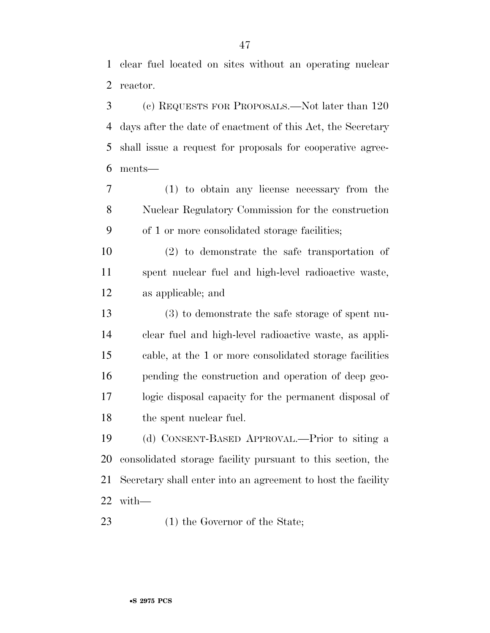clear fuel located on sites without an operating nuclear reactor.

 (c) REQUESTS FOR PROPOSALS.—Not later than 120 days after the date of enactment of this Act, the Secretary shall issue a request for proposals for cooperative agree-ments—

 (1) to obtain any license necessary from the Nuclear Regulatory Commission for the construction of 1 or more consolidated storage facilities;

 (2) to demonstrate the safe transportation of spent nuclear fuel and high-level radioactive waste, as applicable; and

 (3) to demonstrate the safe storage of spent nu- clear fuel and high-level radioactive waste, as appli- cable, at the 1 or more consolidated storage facilities pending the construction and operation of deep geo- logic disposal capacity for the permanent disposal of the spent nuclear fuel.

 (d) CONSENT-BASED APPROVAL.—Prior to siting a consolidated storage facility pursuant to this section, the Secretary shall enter into an agreement to host the facility with—

23 (1) the Governor of the State;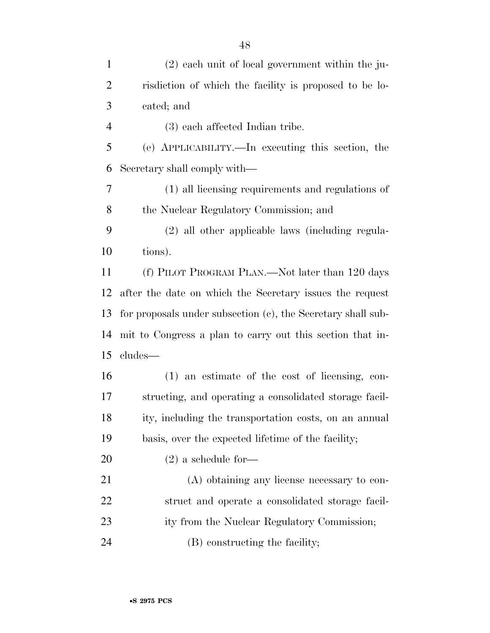| $\mathbf{1}$   | $(2)$ each unit of local government within the ju-           |
|----------------|--------------------------------------------------------------|
| $\overline{2}$ | risdiction of which the facility is proposed to be lo-       |
| 3              | cated; and                                                   |
| $\overline{4}$ | (3) each affected Indian tribe.                              |
| 5              | (e) APPLICABILITY.—In executing this section, the            |
| 6              | Secretary shall comply with—                                 |
| 7              | (1) all licensing requirements and regulations of            |
| 8              | the Nuclear Regulatory Commission; and                       |
| 9              | (2) all other applicable laws (including regula-             |
| 10             | tions).                                                      |
| 11             | (f) PILOT PROGRAM PLAN.—Not later than 120 days              |
| 12             | after the date on which the Secretary issues the request     |
| 13             | for proposals under subsection (c), the Secretary shall sub- |
| 14             | mit to Congress a plan to carry out this section that in-    |
| 15             | cludes—                                                      |
| 16             | $(1)$ an estimate of the cost of licensing, con-             |
| 17             | structing, and operating a consolidated storage facil-       |
| 18             | ity, including the transportation costs, on an annual        |
| 19             | basis, over the expected lifetime of the facility;           |
| 20             | $(2)$ a schedule for-                                        |
| 21             | (A) obtaining any license necessary to con-                  |
| 22             | struct and operate a consolidated storage facil-             |
| 23             | ity from the Nuclear Regulatory Commission;                  |
| 24             | (B) constructing the facility;                               |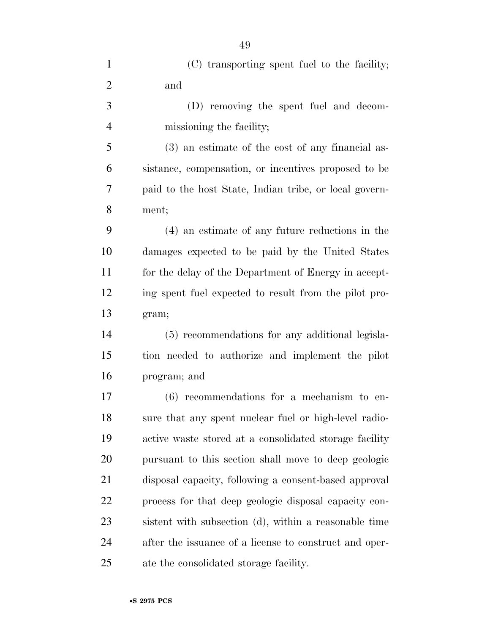| $\mathbf{1}$   | (C) transporting spent fuel to the facility;           |
|----------------|--------------------------------------------------------|
| $\overline{2}$ | and                                                    |
| 3              | (D) removing the spent fuel and decom-                 |
| $\overline{4}$ | missioning the facility;                               |
| 5              | (3) an estimate of the cost of any financial as-       |
| 6              | sistance, compensation, or incentives proposed to be   |
| 7              | paid to the host State, Indian tribe, or local govern- |
| 8              | ment;                                                  |
| 9              | (4) an estimate of any future reductions in the        |
| 10             | damages expected to be paid by the United States       |
| 11             | for the delay of the Department of Energy in accept-   |
| 12             | ing spent fuel expected to result from the pilot pro-  |
| 13             | gram;                                                  |
| 14             | (5) recommendations for any additional legisla-        |
| 15             | tion needed to authorize and implement the pilot       |
| 16             | program; and                                           |
| 17             | $(6)$ recommendations for a mechanism to en-           |
| 18             | sure that any spent nuclear fuel or high-level radio-  |
| 19             | active waste stored at a consolidated storage facility |
| 20             | pursuant to this section shall move to deep geologic   |
| 21             | disposal capacity, following a consent-based approval  |
| 22             | process for that deep geologic disposal capacity con-  |
| 23             | sistent with subsection (d), within a reasonable time  |
| 24             | after the issuance of a license to construct and oper- |
| 25             | ate the consolidated storage facility.                 |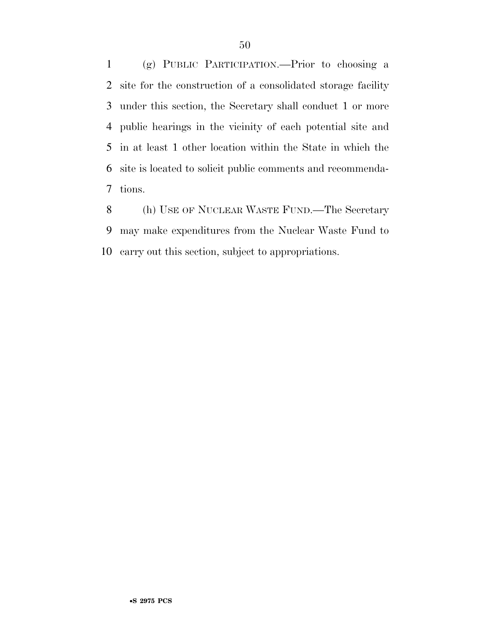(g) PUBLIC PARTICIPATION.—Prior to choosing a site for the construction of a consolidated storage facility under this section, the Secretary shall conduct 1 or more public hearings in the vicinity of each potential site and in at least 1 other location within the State in which the site is located to solicit public comments and recommenda-tions.

8 (h) USE OF NUCLEAR WASTE FUND.—The Secretary may make expenditures from the Nuclear Waste Fund to carry out this section, subject to appropriations.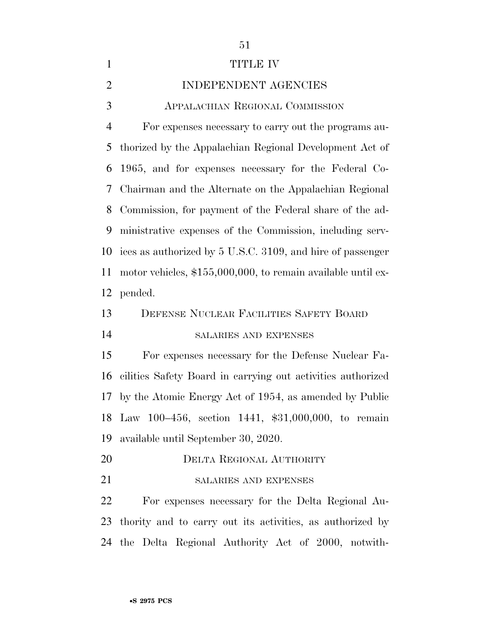| $\mathbf{1}$   | TITLE IV                                                       |
|----------------|----------------------------------------------------------------|
| $\overline{2}$ | INDEPENDENT AGENCIES                                           |
| 3              | APPALACHIAN REGIONAL COMMISSION                                |
| $\overline{4}$ | For expenses necessary to carry out the programs au-           |
| 5              | thorized by the Appalachian Regional Development Act of        |
| 6              | 1965, and for expenses necessary for the Federal Co-           |
| 7              | Chairman and the Alternate on the Appalachian Regional         |
| 8              | Commission, for payment of the Federal share of the ad-        |
| 9              | ministrative expenses of the Commission, including serv-       |
| 10             | ices as authorized by 5 U.S.C. 3109, and hire of passenger     |
| 11             | motor vehicles, $$155,000,000$ , to remain available until ex- |
| 12             | pended.                                                        |
| 13             | DEFENSE NUCLEAR FACILITIES SAFETY BOARD                        |
| 14             | SALARIES AND EXPENSES                                          |
| 15             | For expenses necessary for the Defense Nuclear Fa-             |
| 16             | cilities Safety Board in carrying out activities authorized    |
| 17             | by the Atomic Energy Act of 1954, as amended by Public         |
|                | 18 Law 100-456, section 1441, \$31,000,000, to remain          |
| 19             | available until September 30, 2020.                            |
| 20             | DELTA REGIONAL AUTHORITY                                       |
| 21             | SALARIES AND EXPENSES                                          |
| 22             | For expenses necessary for the Delta Regional Au-              |
| 23             | thority and to carry out its activities, as authorized by      |
|                | 24 the Delta Regional Authority Act of 2000, notwith-          |
|                |                                                                |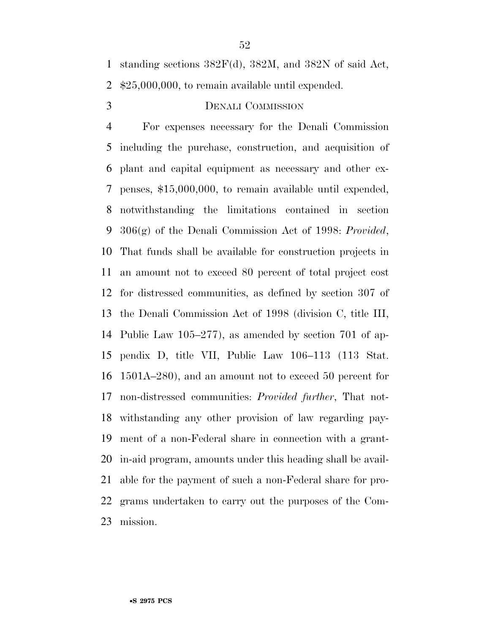#### DENALI COMMISSION

 For expenses necessary for the Denali Commission including the purchase, construction, and acquisition of plant and capital equipment as necessary and other ex- penses, \$15,000,000, to remain available until expended, notwithstanding the limitations contained in section 306(g) of the Denali Commission Act of 1998: *Provided*, That funds shall be available for construction projects in an amount not to exceed 80 percent of total project cost for distressed communities, as defined by section 307 of the Denali Commission Act of 1998 (division C, title III, Public Law 105–277), as amended by section 701 of ap- pendix D, title VII, Public Law 106–113 (113 Stat. 1501A–280), and an amount not to exceed 50 percent for non-distressed communities: *Provided further*, That not- withstanding any other provision of law regarding pay- ment of a non-Federal share in connection with a grant- in-aid program, amounts under this heading shall be avail- able for the payment of such a non-Federal share for pro- grams undertaken to carry out the purposes of the Com-mission.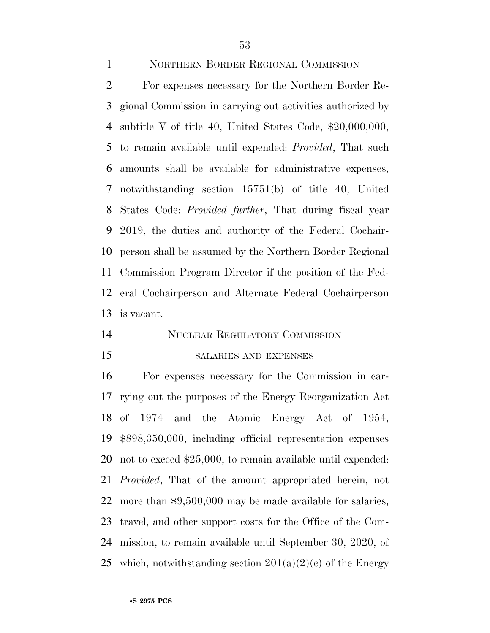NORTHERN BORDER REGIONAL COMMISSION

 For expenses necessary for the Northern Border Re- gional Commission in carrying out activities authorized by subtitle V of title 40, United States Code, \$20,000,000, to remain available until expended: *Provided*, That such amounts shall be available for administrative expenses, notwithstanding section 15751(b) of title 40, United States Code: *Provided further*, That during fiscal year 2019, the duties and authority of the Federal Cochair- person shall be assumed by the Northern Border Regional Commission Program Director if the position of the Fed- eral Cochairperson and Alternate Federal Cochairperson is vacant.

#### NUCLEAR REGULATORY COMMISSION

#### SALARIES AND EXPENSES

 For expenses necessary for the Commission in car- rying out the purposes of the Energy Reorganization Act of 1974 and the Atomic Energy Act of 1954, \$898,350,000, including official representation expenses not to exceed \$25,000, to remain available until expended: *Provided*, That of the amount appropriated herein, not more than \$9,500,000 may be made available for salaries, travel, and other support costs for the Office of the Com- mission, to remain available until September 30, 2020, of 25 which, notwithstanding section  $201(a)(2)(c)$  of the Energy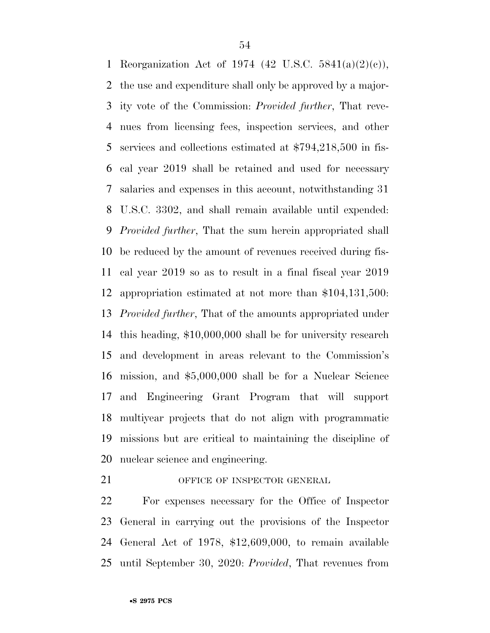Reorganization Act of 1974 (42 U.S.C. 5841(a)(2)(c)), the use and expenditure shall only be approved by a major- ity vote of the Commission: *Provided further*, That reve- nues from licensing fees, inspection services, and other services and collections estimated at \$794,218,500 in fis- cal year 2019 shall be retained and used for necessary salaries and expenses in this account, notwithstanding 31 U.S.C. 3302, and shall remain available until expended: *Provided further*, That the sum herein appropriated shall be reduced by the amount of revenues received during fis- cal year 2019 so as to result in a final fiscal year 2019 appropriation estimated at not more than \$104,131,500: *Provided further*, That of the amounts appropriated under this heading, \$10,000,000 shall be for university research and development in areas relevant to the Commission's mission, and \$5,000,000 shall be for a Nuclear Science and Engineering Grant Program that will support multiyear projects that do not align with programmatic missions but are critical to maintaining the discipline of nuclear science and engineering.

21 OFFICE OF INSPECTOR GENERAL

 For expenses necessary for the Office of Inspector General in carrying out the provisions of the Inspector General Act of 1978, \$12,609,000, to remain available until September 30, 2020: *Provided*, That revenues from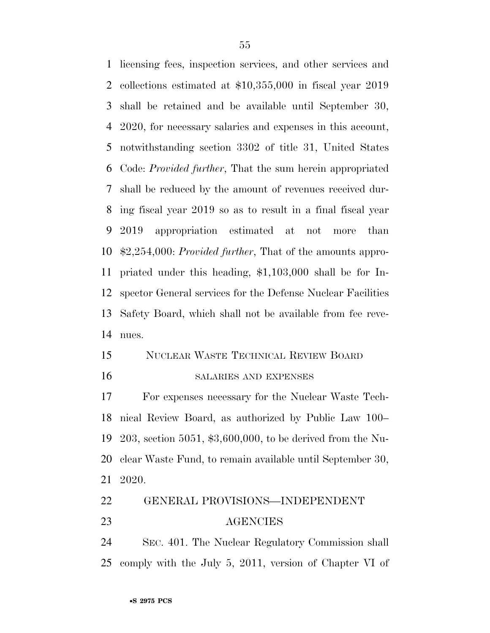licensing fees, inspection services, and other services and collections estimated at \$10,355,000 in fiscal year 2019 shall be retained and be available until September 30, 2020, for necessary salaries and expenses in this account, notwithstanding section 3302 of title 31, United States Code: *Provided further*, That the sum herein appropriated shall be reduced by the amount of revenues received dur- ing fiscal year 2019 so as to result in a final fiscal year 2019 appropriation estimated at not more than \$2,254,000: *Provided further*, That of the amounts appro- priated under this heading, \$1,103,000 shall be for In- spector General services for the Defense Nuclear Facilities Safety Board, which shall not be available from fee reve-nues.

### NUCLEAR WASTE TECHNICAL REVIEW BOARD

#### SALARIES AND EXPENSES

 For expenses necessary for the Nuclear Waste Tech- nical Review Board, as authorized by Public Law 100– 203, section 5051, \$3,600,000, to be derived from the Nu- clear Waste Fund, to remain available until September 30, 2020.

### GENERAL PROVISIONS—INDEPENDENT AGENCIES

 SEC. 401. The Nuclear Regulatory Commission shall comply with the July 5, 2011, version of Chapter VI of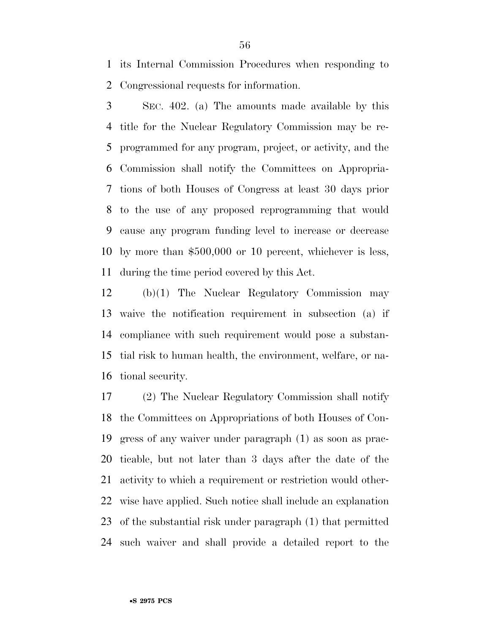its Internal Commission Procedures when responding to Congressional requests for information.

 SEC. 402. (a) The amounts made available by this title for the Nuclear Regulatory Commission may be re- programmed for any program, project, or activity, and the Commission shall notify the Committees on Appropria- tions of both Houses of Congress at least 30 days prior to the use of any proposed reprogramming that would cause any program funding level to increase or decrease by more than \$500,000 or 10 percent, whichever is less, during the time period covered by this Act.

 (b)(1) The Nuclear Regulatory Commission may waive the notification requirement in subsection (a) if compliance with such requirement would pose a substan- tial risk to human health, the environment, welfare, or na-tional security.

 (2) The Nuclear Regulatory Commission shall notify the Committees on Appropriations of both Houses of Con- gress of any waiver under paragraph (1) as soon as prac- ticable, but not later than 3 days after the date of the activity to which a requirement or restriction would other- wise have applied. Such notice shall include an explanation of the substantial risk under paragraph (1) that permitted such waiver and shall provide a detailed report to the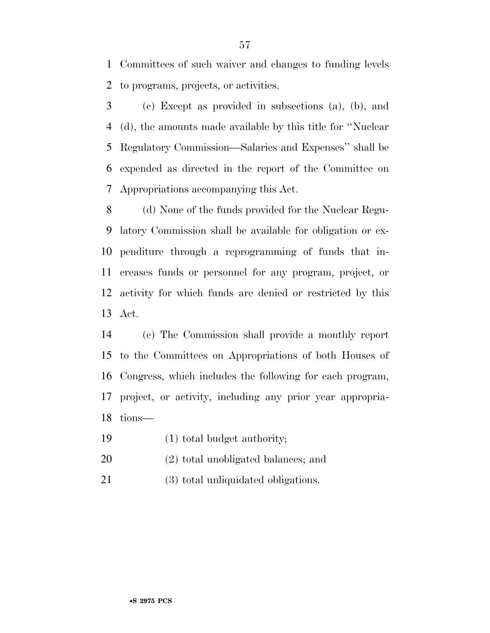Committees of such waiver and changes to funding levels to programs, projects, or activities.

 (c) Except as provided in subsections (a), (b), and (d), the amounts made available by this title for ''Nuclear Regulatory Commission—Salaries and Expenses'' shall be expended as directed in the report of the Committee on Appropriations accompanying this Act.

 (d) None of the funds provided for the Nuclear Regu- latory Commission shall be available for obligation or ex- penditure through a reprogramming of funds that in- creases funds or personnel for any program, project, or activity for which funds are denied or restricted by this Act.

 (e) The Commission shall provide a monthly report to the Committees on Appropriations of both Houses of Congress, which includes the following for each program, project, or activity, including any prior year appropria-tions—

- (1) total budget authority;
- (2) total unobligated balances; and
- (3) total unliquidated obligations.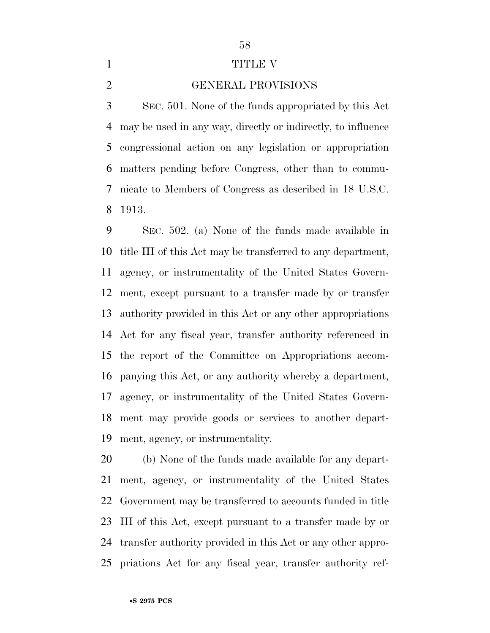### 

#### 1 TITLE V

#### GENERAL PROVISIONS

 SEC. 501. None of the funds appropriated by this Act may be used in any way, directly or indirectly, to influence congressional action on any legislation or appropriation matters pending before Congress, other than to commu- nicate to Members of Congress as described in 18 U.S.C. 1913.

 SEC. 502. (a) None of the funds made available in title III of this Act may be transferred to any department, agency, or instrumentality of the United States Govern- ment, except pursuant to a transfer made by or transfer authority provided in this Act or any other appropriations Act for any fiscal year, transfer authority referenced in the report of the Committee on Appropriations accom- panying this Act, or any authority whereby a department, agency, or instrumentality of the United States Govern- ment may provide goods or services to another depart-ment, agency, or instrumentality.

 (b) None of the funds made available for any depart- ment, agency, or instrumentality of the United States Government may be transferred to accounts funded in title III of this Act, except pursuant to a transfer made by or transfer authority provided in this Act or any other appro-priations Act for any fiscal year, transfer authority ref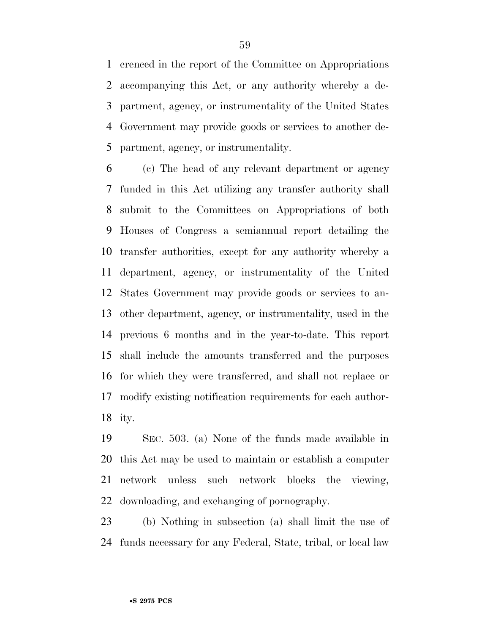erenced in the report of the Committee on Appropriations accompanying this Act, or any authority whereby a de- partment, agency, or instrumentality of the United States Government may provide goods or services to another de-partment, agency, or instrumentality.

 (c) The head of any relevant department or agency funded in this Act utilizing any transfer authority shall submit to the Committees on Appropriations of both Houses of Congress a semiannual report detailing the transfer authorities, except for any authority whereby a department, agency, or instrumentality of the United States Government may provide goods or services to an- other department, agency, or instrumentality, used in the previous 6 months and in the year-to-date. This report shall include the amounts transferred and the purposes for which they were transferred, and shall not replace or modify existing notification requirements for each author-ity.

 SEC. 503. (a) None of the funds made available in this Act may be used to maintain or establish a computer network unless such network blocks the viewing, downloading, and exchanging of pornography.

 (b) Nothing in subsection (a) shall limit the use of funds necessary for any Federal, State, tribal, or local law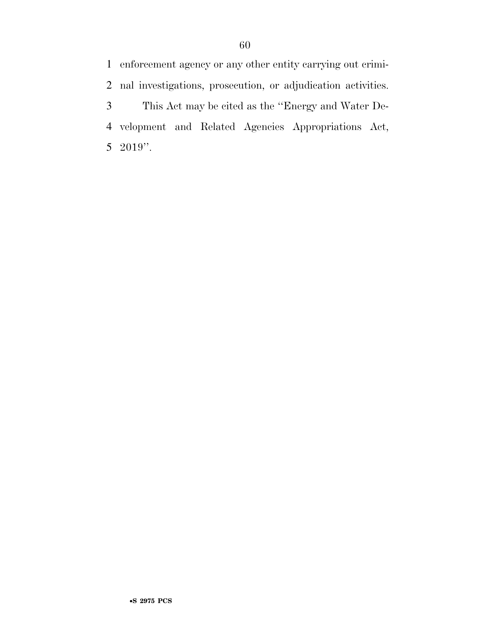enforcement agency or any other entity carrying out crimi- nal investigations, prosecution, or adjudication activities. This Act may be cited as the ''Energy and Water De- velopment and Related Agencies Appropriations Act, 2019''.